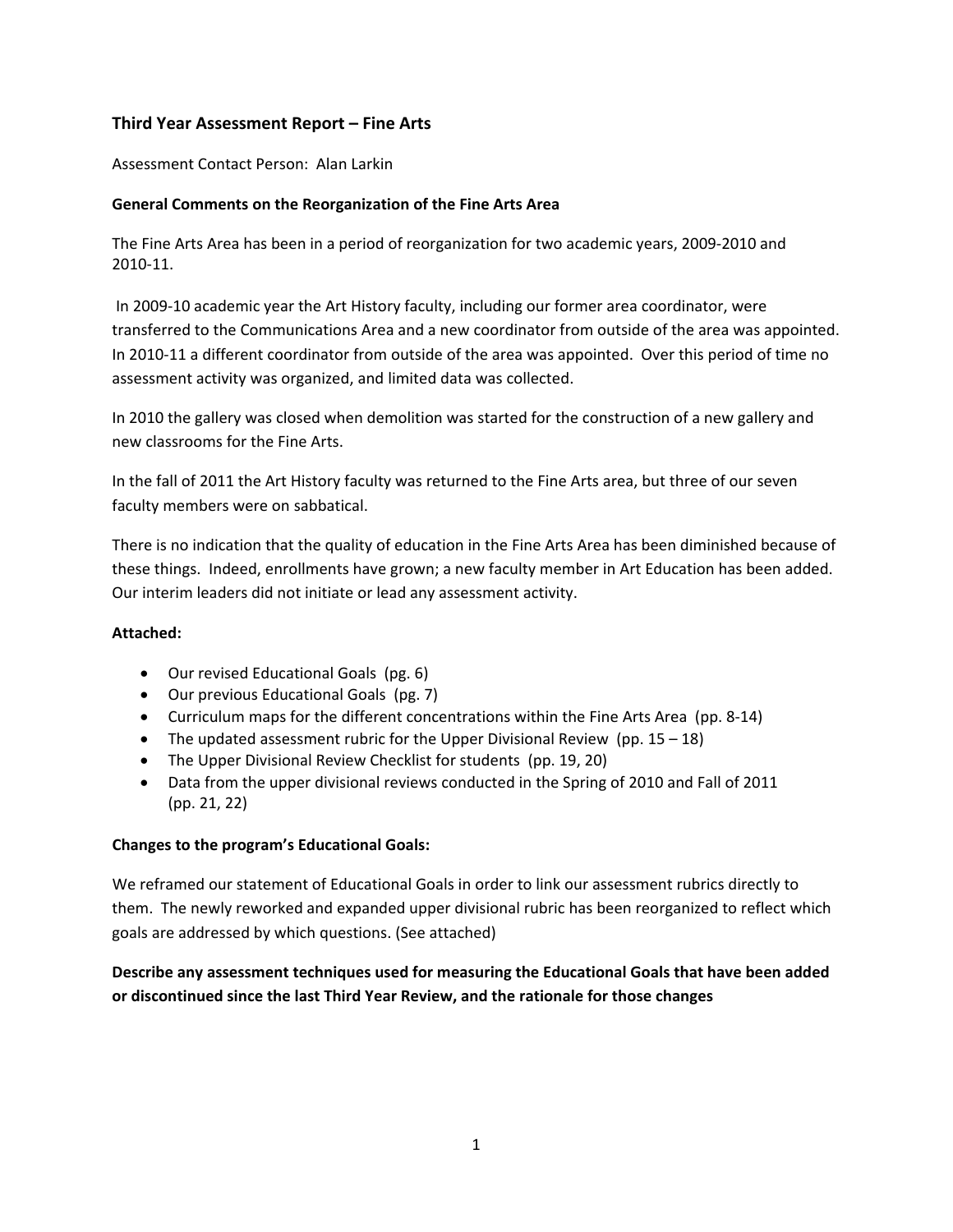# **Third Year Assessment Report – Fine Arts**

Assessment Contact Person: Alan Larkin

#### **General Comments on the Reorganization of the Fine Arts Area**

 The Fine Arts Area has been in a period of reorganization for two academic years, 2009‐2010 and 2010‐11.

 In 2009‐10 academic year the Art History faculty, including our former area coordinator, were transferred to the Communications Area and a new coordinator from outside of the area was appointed. In 2010‐11 a different coordinator from outside of the area was appointed. Over this period of time no assessment activity was organized, and limited data was collected.

 In 2010 the gallery was closed when demolition was started for the construction of a new gallery and new classrooms for the Fine Arts.

 In the fall of 2011 the Art History faculty was returned to the Fine Arts area, but three of our seven faculty members were on sabbatical.

 There is no indication that the quality of education in the Fine Arts Area has been diminished because of these things. Indeed, enrollments have grown; a new faculty member in Art Education has been added. Our interim leaders did not initiate or lead any assessment activity.

#### **Attached:**

- Our revised Educational Goals (pg. 6)
- Our previous Educational Goals (pg. 7)
- Curriculum maps for the different concentrations within the Fine Arts Area (pp. 8‐14)
- The updated assessment rubric for the Upper Divisional Review (pp.  $15 18$ )
- The Upper Divisional Review Checklist for students (pp. 19, 20)
- Data from the upper divisional reviews conducted in the Spring of 2010 and Fall of 2011 (pp. 21, 22)

# **Changes to the program's Educational Goals:**

 We reframed our statement of Educational Goals in order to link our assessment rubrics directly to them. The newly reworked and expanded upper divisional rubric has been reorganized to reflect which goals are addressed by which questions. (See attached)

Describe any assessment techniques used for measuring the Educational Goals that have been added  **or discontinued since the last Third Year Review, and the rationale for those changes**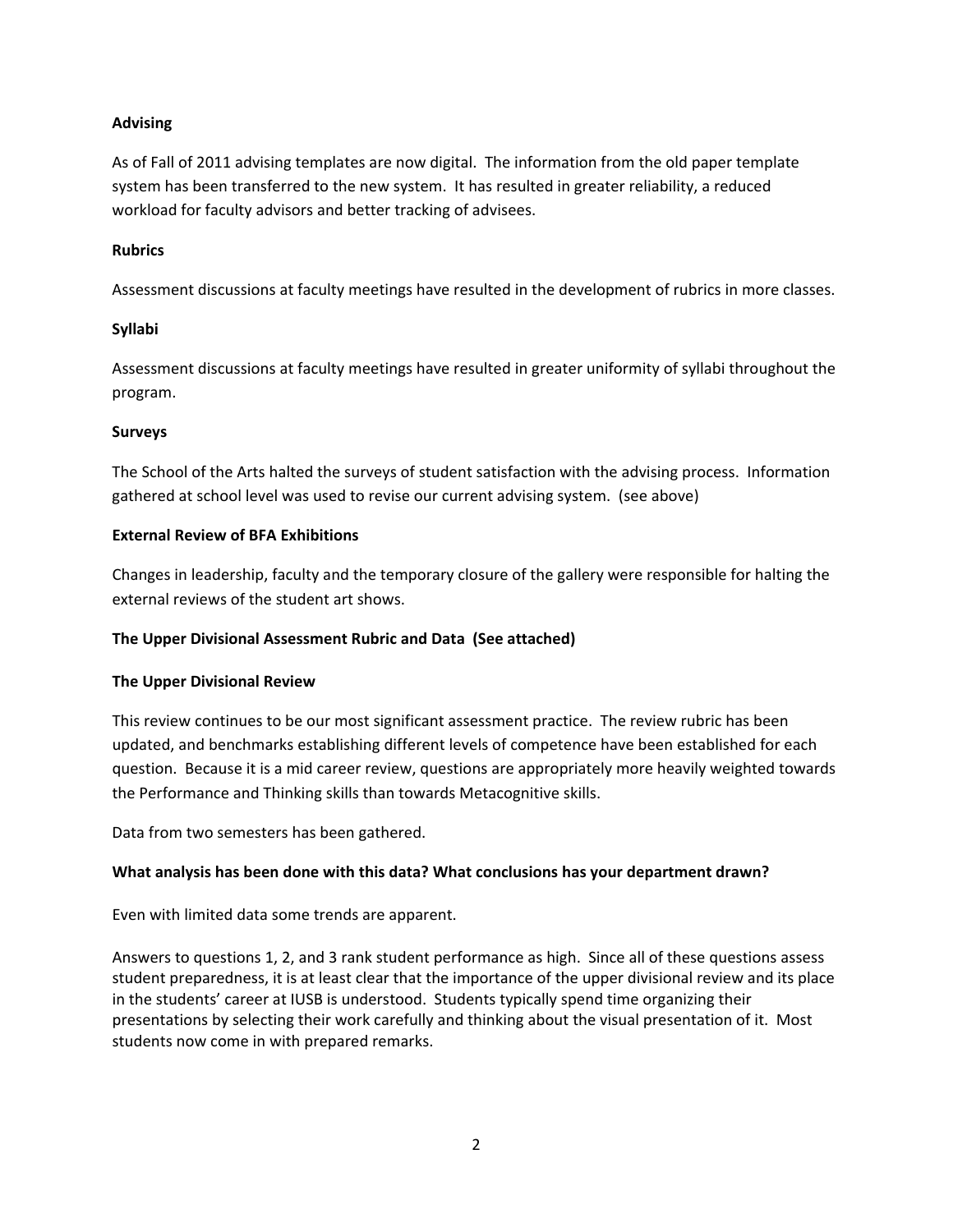# **Advising**

 As of Fall of 2011 advising templates are now digital. The information from the old paper template system has been transferred to the new system. It has resulted in greater reliability, a reduced workload for faculty advisors and better tracking of advisees.

#### **Rubrics**

Assessment discussions at faculty meetings have resulted in the development of rubrics in more classes.

# **Syllabi**

 Assessment discussions at faculty meetings have resulted in greater uniformity of syllabi throughout the program.

# **Surveys**

 The School of the Arts halted the surveys of student satisfaction with the advising process. Information gathered at school level was used to revise our current advising system. (see above)

# **External Review of BFA Exhibitions**

 Changes in leadership, faculty and the temporary closure of the gallery were responsible for halting the external reviews of the student art shows.

# **The Upper Divisional Assessment Rubric and Data (See attached)**

# **The Upper Divisional Review**

 This review continues to be our most significant assessment practice. The review rubric has been updated, and benchmarks establishing different levels of competence have been established for each question. Because it is a mid career review, questions are appropriately more heavily weighted towards the Performance and Thinking skills than towards Metacognitive skills.

Data from two semesters has been gathered.

# **What analysis has been done with this data? What conclusions has your department drawn?**

Even with limited data some trends are apparent.

 Answers to questions 1, 2, and 3 rank student performance as high. Since all of these questions assess student preparedness, it is at least clear that the importance of the upper divisional review and its place in the students' career at IUSB is understood. Students typically spend time organizing their presentations by selecting their work carefully and thinking about the visual presentation of it. Most students now come in with prepared remarks.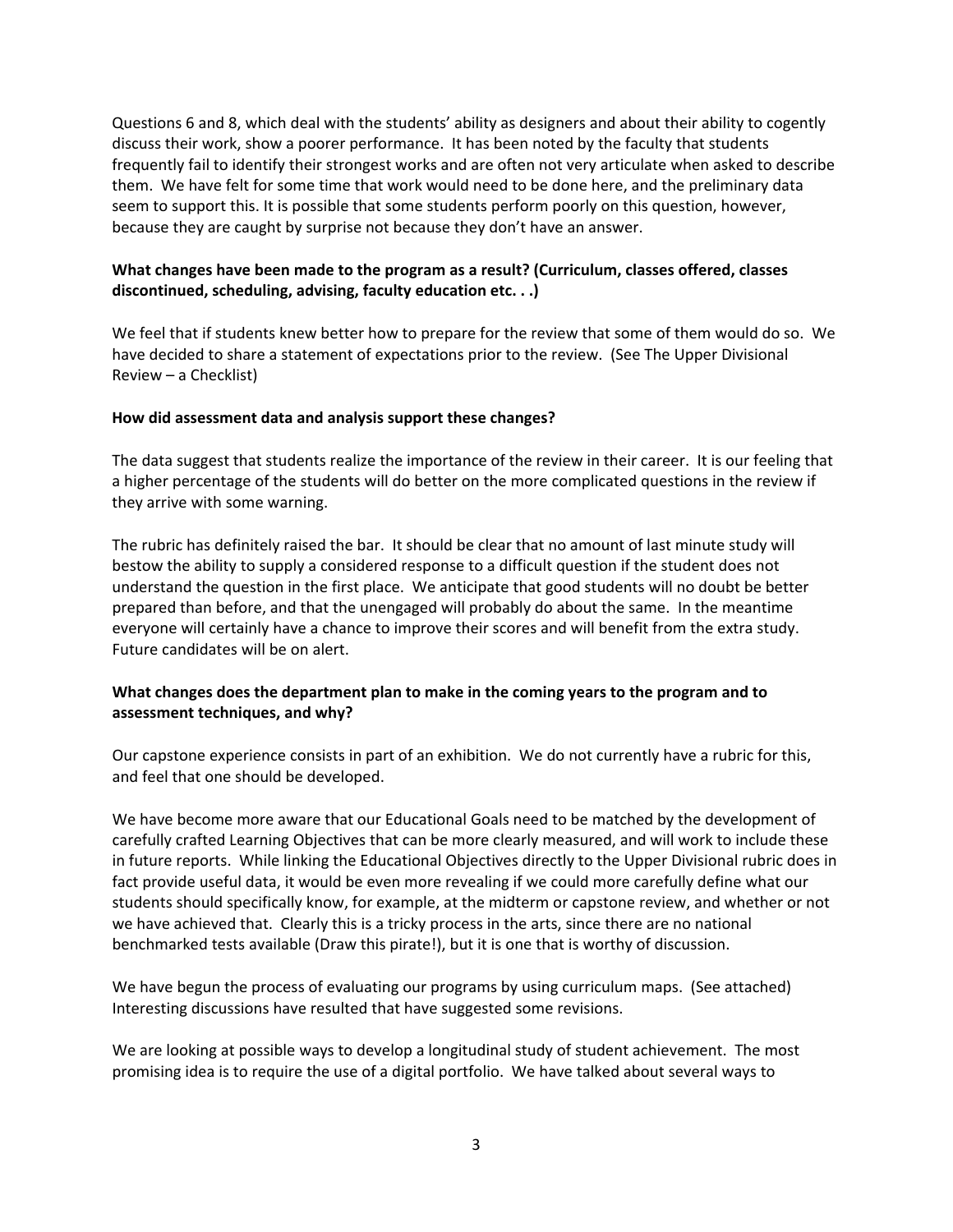Questions 6 and 8, which deal with the students' ability as designers and about their ability to cogently discuss their work, show a poorer performance. It has been noted by the faculty that students frequently fail to identify their strongest works and are often not very articulate when asked to describe them. We have felt for some time that work would need to be done here, and the preliminary data seem to support this. It is possible that some students perform poorly on this question, however, because they are caught by surprise not because they don't have an answer.

# What changes have been made to the program as a result? (Curriculum, classes offered, classes  **discontinued, scheduling, advising, faculty education etc. . .)**

 We feel that if students knew better how to prepare for the review that some of them would do so. We have decided to share a statement of expectations prior to the review. (See The Upper Divisional Review – a Checklist)

#### **How did assessment data and analysis support these changes?**

 The data suggest that students realize the importance of the review in their career. It is our feeling that a higher percentage of the students will do better on the more complicated questions in the review if they arrive with some warning.

 The rubric has definitely raised the bar. It should be clear that no amount of last minute study will bestow the ability to supply a considered response to a difficult question if the student does not understand the question in the first place. We anticipate that good students will no doubt be better prepared than before, and that the unengaged will probably do about the same. In the meantime everyone will certainly have a chance to improve their scores and will benefit from the extra study. Future candidates will be on alert.

# What changes does the department plan to make in the coming years to the program and to  **assessment techniques, and why?**

 Our capstone experience consists in part of an exhibition. We do not currently have a rubric for this, and feel that one should be developed.

 We have become more aware that our Educational Goals need to be matched by the development of carefully crafted Learning Objectives that can be more clearly measured, and will work to include these in future reports. While linking the Educational Objectives directly to the Upper Divisional rubric does in fact provide useful data, it would be even more revealing if we could more carefully define what our students should specifically know, for example, at the midterm or capstone review, and whether or not we have achieved that. Clearly this is a tricky process in the arts, since there are no national benchmarked tests available (Draw this pirate!), but it is one that is worthy of discussion.

 We have begun the process of evaluating our programs by using curriculum maps. (See attached) Interesting discussions have resulted that have suggested some revisions.

 We are looking at possible ways to develop a longitudinal study of student achievement. The most promising idea is to require the use of a digital portfolio. We have talked about several ways to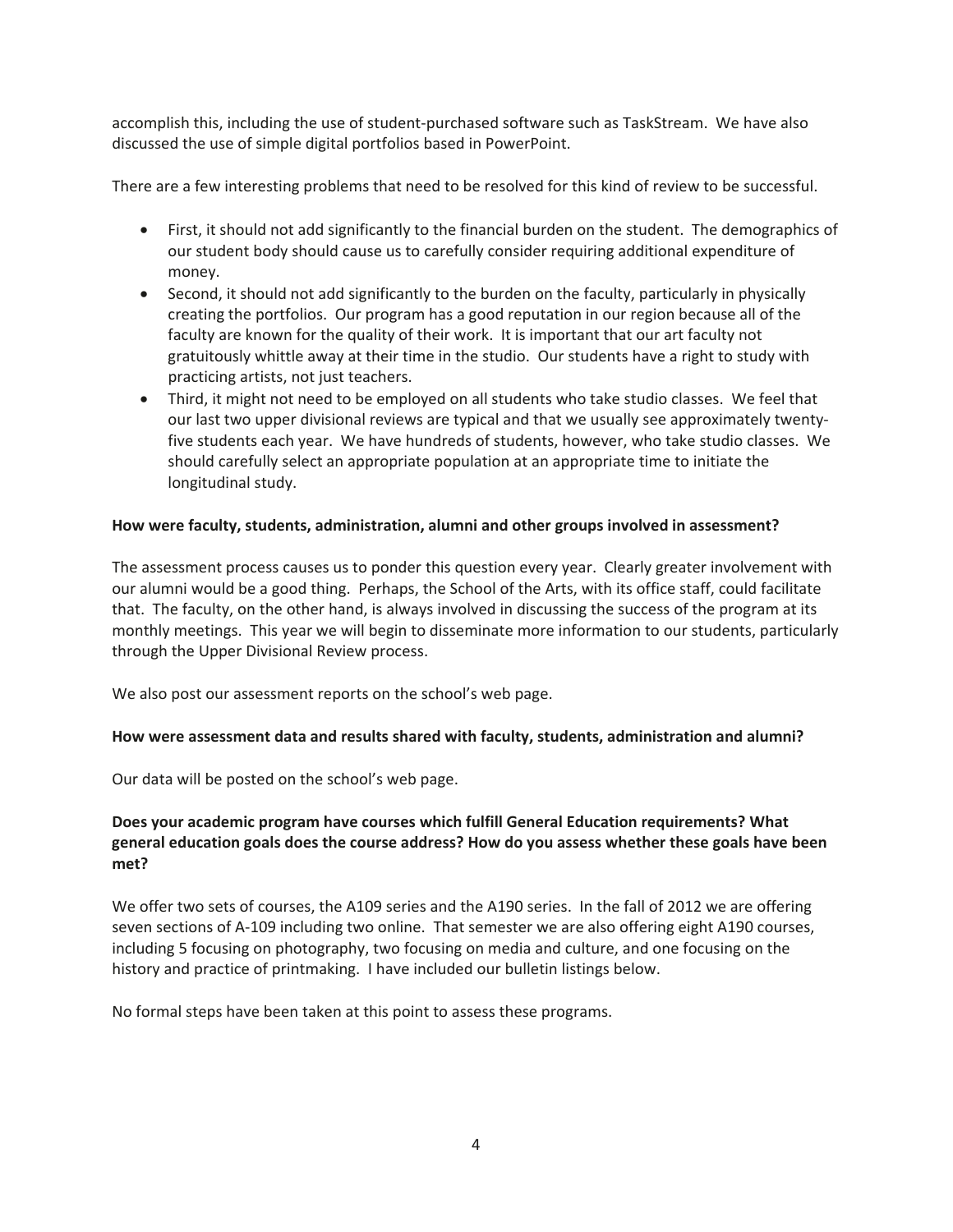accomplish this, including the use of student-purchased software such as TaskStream. We have also discussed the use of simple digital portfolios based in PowerPoint.

There are a few interesting problems that need to be resolved for this kind of review to be successful.

- First, it should not add significantly to the financial burden on the student. The demographics of our student body should cause us to carefully consider requiring additional expenditure of money.
- Second, it should not add significantly to the burden on the faculty, particularly in physically creating the portfolios. Our program has a good reputation in our region because all of the faculty are known for the quality of their work. It is important that our art faculty not gratuitously whittle away at their time in the studio. Our students have a right to study with practicing artists, not just teachers.
- Third, it might not need to be employed on all students who take studio classes. We feel that our last two upper divisional reviews are typical and that we usually see approximately twentyfive students each year. We have hundreds of students, however, who take studio classes. We should carefully select an appropriate population at an appropriate time to initiate the longitudinal study.

# **How were faculty, students, administration, alumni and other groups involved in assessment?**

The assessment process causes us to ponder this question every year. Clearly greater involvement with our alumni would be a good thing. Perhaps, the School of the Arts, with its office staff, could facilitate that. The faculty, on the other hand, is always involved in discussing the success of the program at its monthly meetings. This year we will begin to disseminate more information to our students, particularly through the Upper Divisional Review process.

We also post our assessment reports on the school's web page.

#### **How were assessment data and results shared with faculty, students, administration and alumni?**

Our data will be posted on the school's web page.

# **Does your academic program have courses which fulfill General Education requirements? What general education goals does the course address? How do you assess whether these goals have been met?**

We offer two sets of courses, the A109 series and the A190 series. In the fall of 2012 we are offering seven sections of A-109 including two online. That semester we are also offering eight A190 courses, including 5 focusing on photography, two focusing on media and culture, and one focusing on the history and practice of printmaking. I have included our bulletin listings below.

No formal steps have been taken at this point to assess these programs.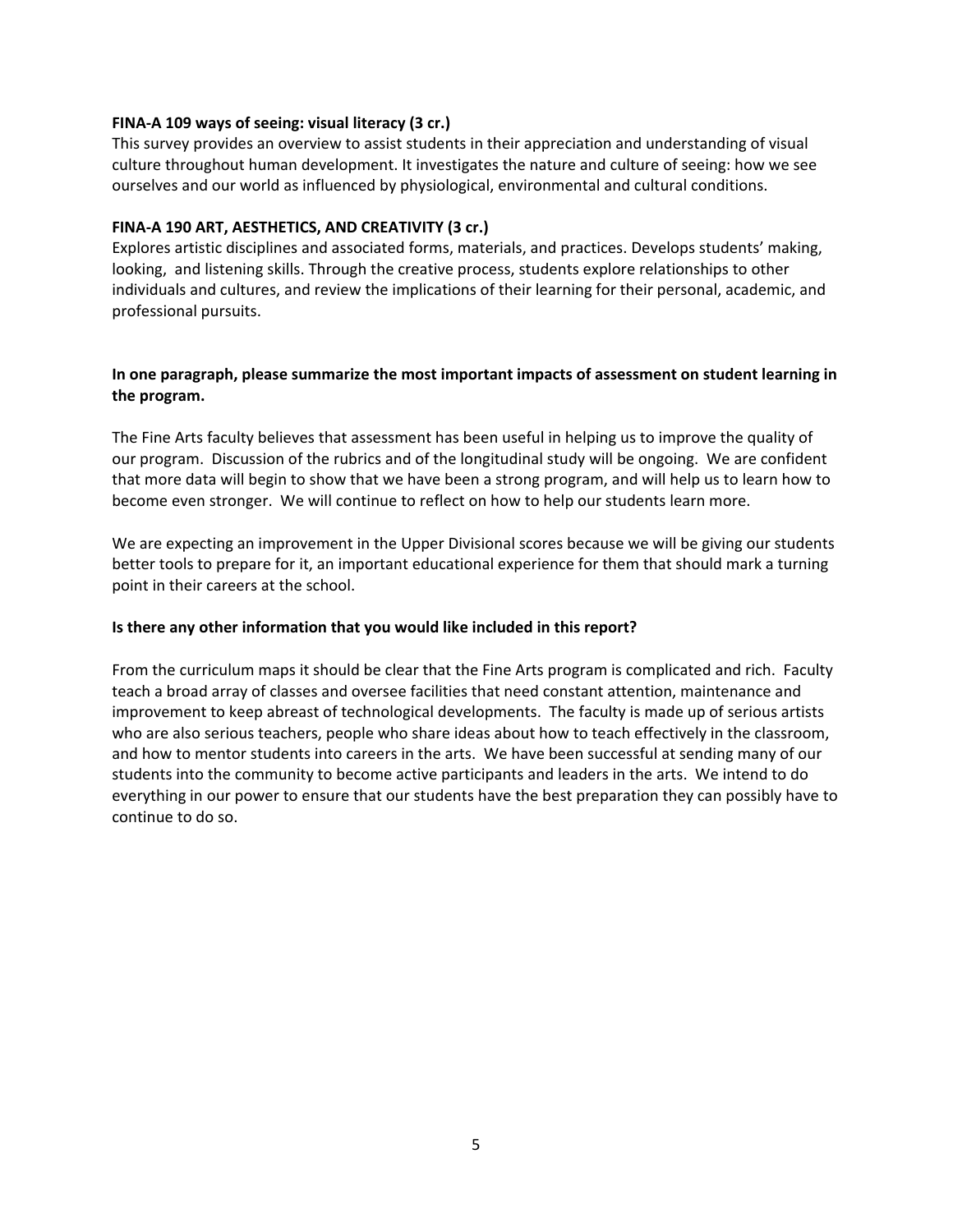#### **FINA‐A 109 ways of seeing: visual literacy (3 cr.)**

 This survey provides an overview to assist students in their appreciation and understanding of visual culture throughout human development. It investigates the nature and culture of seeing: how we see ourselves and our world as influenced by physiological, environmental and cultural conditions.

#### **FINA‐A 190 ART, AESTHETICS, AND CREATIVITY (3 cr.)**

 Explores artistic disciplines and associated forms, materials, and practices. Develops students' making, looking, and listening skills. Through the creative process, students explore relationships to other individuals and cultures, and review the implications of their learning for their personal, academic, and professional pursuits.

#### In one paragraph, please summarize the most important impacts of assessment on student learning in  **the program.**

 The Fine Arts faculty believes that assessment has been useful in helping us to improve the quality of our program. Discussion of the rubrics and of the longitudinal study will be ongoing. We are confident that more data will begin to show that we have been a strong program, and will help us to learn how to become even stronger. We will continue to reflect on how to help our students learn more.

 We are expecting an improvement in the Upper Divisional scores because we will be giving our students better tools to prepare for it, an important educational experience for them that should mark a turning point in their careers at the school.

# **Is there any other information that you would like included in this report?**

 From the curriculum maps it should be clear that the Fine Arts program is complicated and rich. Faculty teach a broad array of classes and oversee facilities that need constant attention, maintenance and improvement to keep abreast of technological developments. The faculty is made up of serious artists who are also serious teachers, people who share ideas about how to teach effectively in the classroom, and how to mentor students into careers in the arts. We have been successful at sending many of our students into the community to become active participants and leaders in the arts. We intend to do everything in our power to ensure that our students have the best preparation they can possibly have to continue to do so.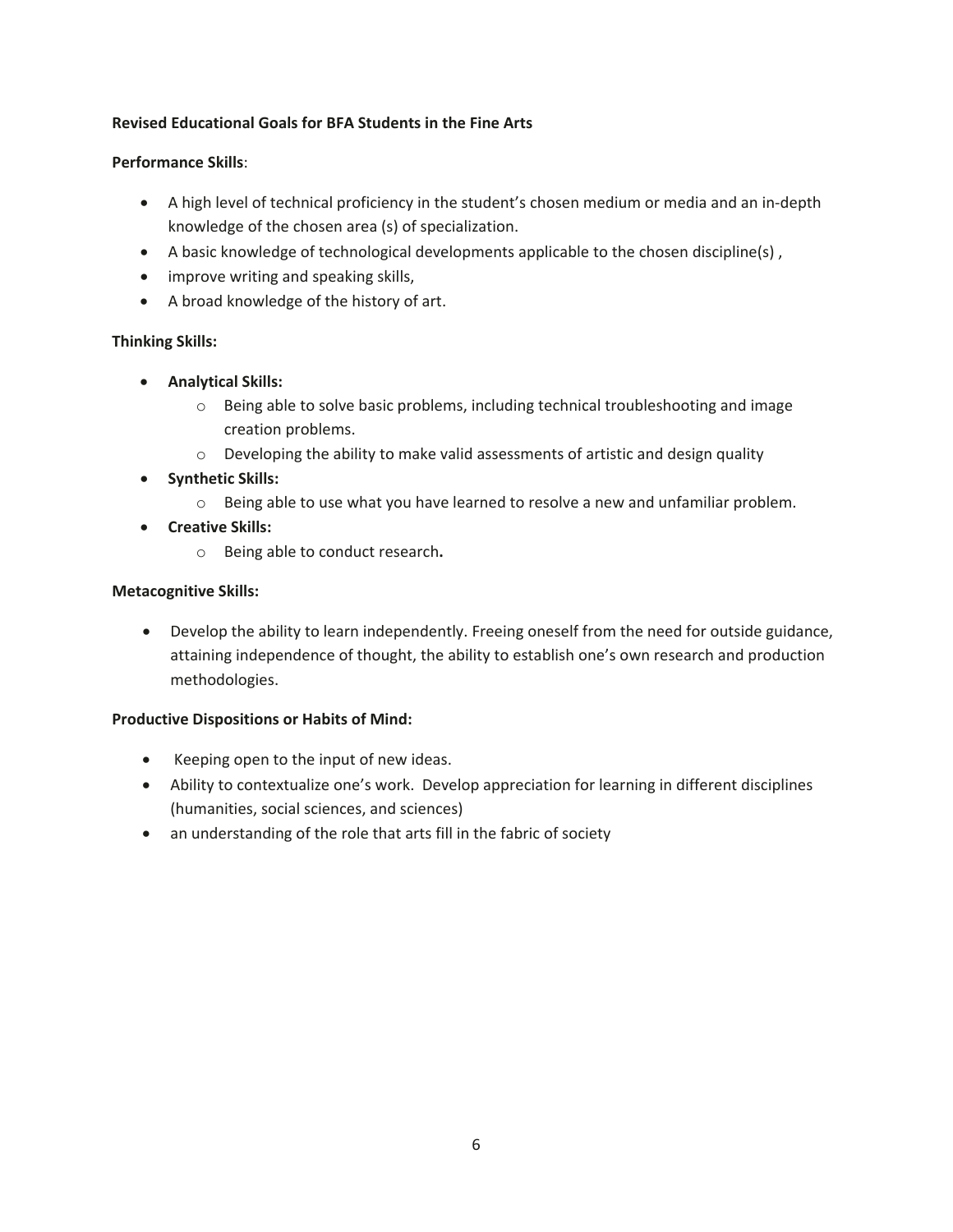# **Revised Educational Goals for BFA Students in the Fine Arts**

#### **Performance Skills**:

- A high level of technical proficiency in the student's chosen medium or media and an in-depth knowledge of the chosen area (s) of specialization.
- $\bullet$  A basic knowledge of technological developments applicable to the chosen discipline(s),
- improve writing and speaking skills,
- A broad knowledge of the history of art.

# **Thinking Skills:**

- x **Analytical Skills:**
	- $\circ$  Being able to solve basic problems, including technical troubleshooting and image creation problems.
	- $\circ$  Developing the ability to make valid assessments of artistic and design quality
- x **Synthetic Skills:**
	- $\circ$  Being able to use what you have learned to resolve a new and unfamiliar problem.
- x **Creative Skills:**
	- R Being able to conduct research**.**

#### **Metacognitive Skills:**

• Develop the ability to learn independently. Freeing oneself from the need for outside guidance, attaining independence of thought, the ability to establish one's own research and production methodologies.

#### **Productive Dispositions or Habits of Mind:**

- Keeping open to the input of new ideas.
- Ability to contextualize one's work. Develop appreciation for learning in different disciplines (humanities, social sciences, and sciences)
- an understanding of the role that arts fill in the fabric of society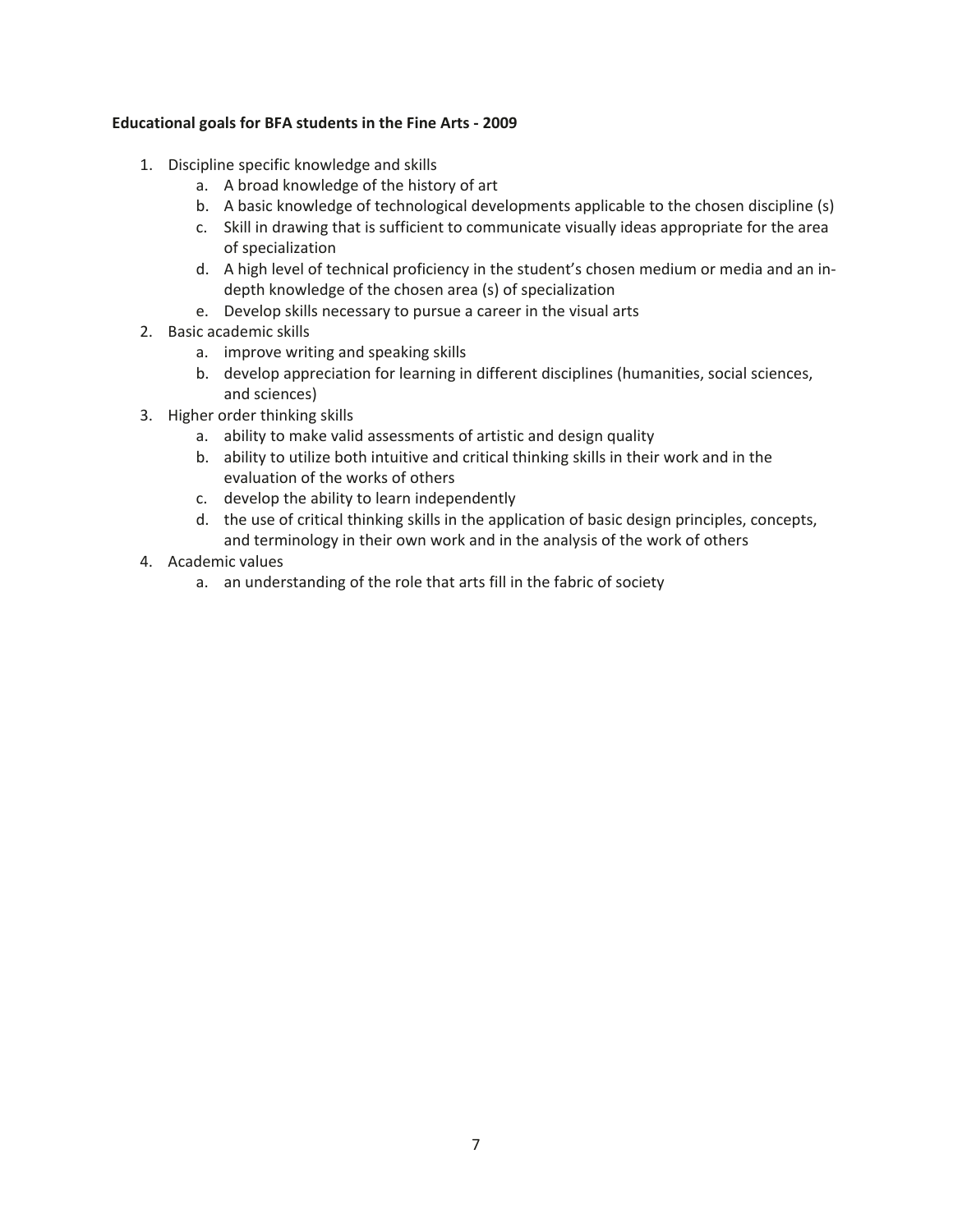#### *Educational goals for BFA students in the Fine Arts - 2009*

- 1. Discipline specific knowledge and skills
	- a. A broad knowledge of the history of art
	- b. A basic knowledge of technological developments applicable to the chosen discipline (s)
	- c. Skill in drawing that is sufficient to communicate visually ideas appropriate for the area of specialization
	- d. A high level of technical proficiency in the student's chosen medium or media and an indepth knowledge of the chosen area (s) of specialization
	- e. Develop skills necessary to pursue a career in the visual arts
- 2. Basic academic skills
	- a. improve writing and speaking skills
	- b. develop appreciation for learning in different disciplines (humanities, social sciences, and sciences)
- 3. Higher order thinking skills
	- a. ability to make valid assessments of artistic and design quality
	- b. ability to utilize both intuitive and critical thinking skills in their work and in the evaluation of the works of others
	- c. develop the ability to learn independently
	- d. the use of critical thinking skills in the application of basic design principles, concepts, and terminology in their own work and in the analysis of the work of others
- 4. Academic values
	- a. an understanding of the role that arts fill in the fabric of society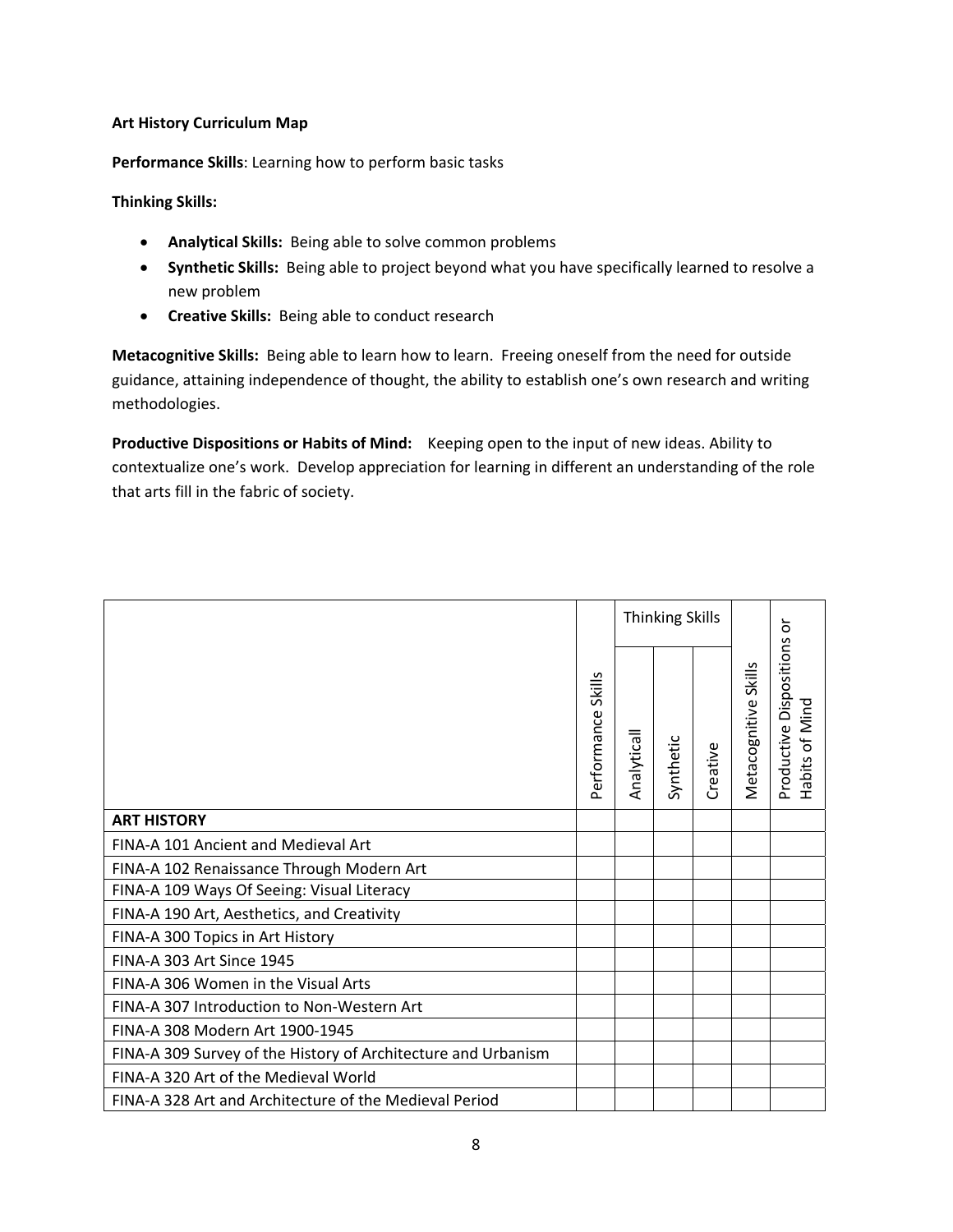#### **Art History Curriculum Map**

**Performance Skills**: Learning how to perform basic tasks

# **Thinking Skills:**

- **Analytical Skills:** Being able to solve common problems
- **Synthetic Skills:** Being able to project beyond what you have specifically learned to resolve a new problem
- **Creative Skills:** Being able to conduct research

 **Metacognitive Skills:** Being able to learn how to learn. Freeing oneself from the need for outside guidance, attaining independence of thought, the ability to establish one's own research and writing methodologies.

 **Productive Dispositions or Habits of Mind:** Keeping open to the input of new ideas. Ability to contextualize one's work. Develop appreciation for learning in different an understanding of the role that arts fill in the fabric of society.

|                                                               |                              | <b>Thinking Skills</b> |           |          |                      | ៦                                         |
|---------------------------------------------------------------|------------------------------|------------------------|-----------|----------|----------------------|-------------------------------------------|
|                                                               | <b>Skills</b><br>Performance | Analyticall            | Synthetic | Creative | Metacognitive Skills | Productive Dispositions<br>Habits of Mind |
| <b>ART HISTORY</b>                                            |                              |                        |           |          |                      |                                           |
| FINA-A 101 Ancient and Medieval Art                           |                              |                        |           |          |                      |                                           |
| FINA-A 102 Renaissance Through Modern Art                     |                              |                        |           |          |                      |                                           |
| FINA-A 109 Ways Of Seeing: Visual Literacy                    |                              |                        |           |          |                      |                                           |
| FINA-A 190 Art, Aesthetics, and Creativity                    |                              |                        |           |          |                      |                                           |
| FINA-A 300 Topics in Art History                              |                              |                        |           |          |                      |                                           |
| FINA-A 303 Art Since 1945                                     |                              |                        |           |          |                      |                                           |
| FINA-A 306 Women in the Visual Arts                           |                              |                        |           |          |                      |                                           |
| FINA-A 307 Introduction to Non-Western Art                    |                              |                        |           |          |                      |                                           |
| FINA-A 308 Modern Art 1900-1945                               |                              |                        |           |          |                      |                                           |
| FINA-A 309 Survey of the History of Architecture and Urbanism |                              |                        |           |          |                      |                                           |
| FINA-A 320 Art of the Medieval World                          |                              |                        |           |          |                      |                                           |
| FINA-A 328 Art and Architecture of the Medieval Period        |                              |                        |           |          |                      |                                           |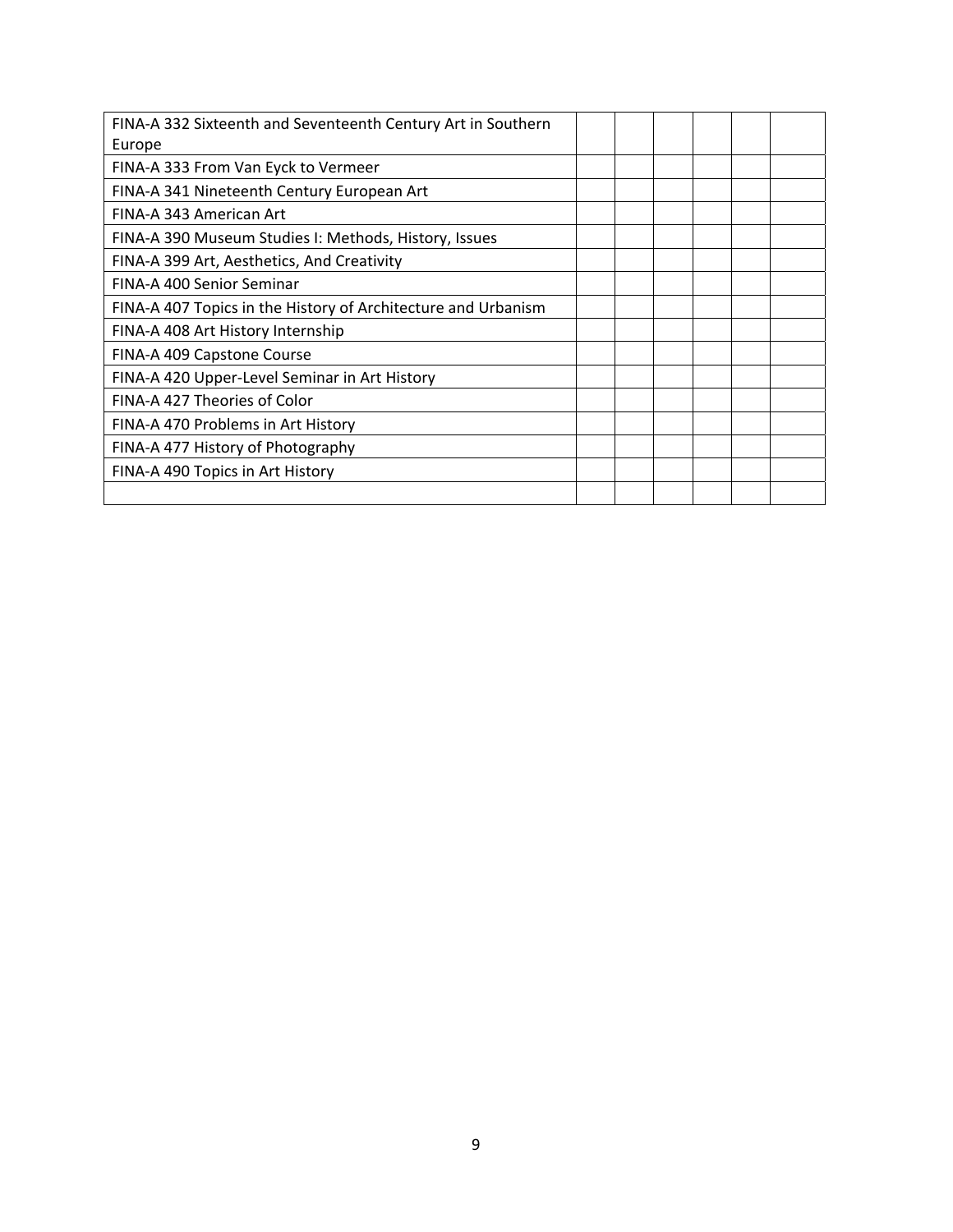| FINA-A 332 Sixteenth and Seventeenth Century Art in Southern  |  |  |  |
|---------------------------------------------------------------|--|--|--|
| Europe                                                        |  |  |  |
| FINA-A 333 From Van Eyck to Vermeer                           |  |  |  |
| FINA-A 341 Nineteenth Century European Art                    |  |  |  |
| FINA-A 343 American Art                                       |  |  |  |
| FINA-A 390 Museum Studies I: Methods, History, Issues         |  |  |  |
| FINA-A 399 Art, Aesthetics, And Creativity                    |  |  |  |
| FINA-A 400 Senior Seminar                                     |  |  |  |
| FINA-A 407 Topics in the History of Architecture and Urbanism |  |  |  |
| FINA-A 408 Art History Internship                             |  |  |  |
| FINA-A 409 Capstone Course                                    |  |  |  |
| FINA-A 420 Upper-Level Seminar in Art History                 |  |  |  |
| FINA-A 427 Theories of Color                                  |  |  |  |
| FINA-A 470 Problems in Art History                            |  |  |  |
| FINA-A 477 History of Photography                             |  |  |  |
| FINA-A 490 Topics in Art History                              |  |  |  |
|                                                               |  |  |  |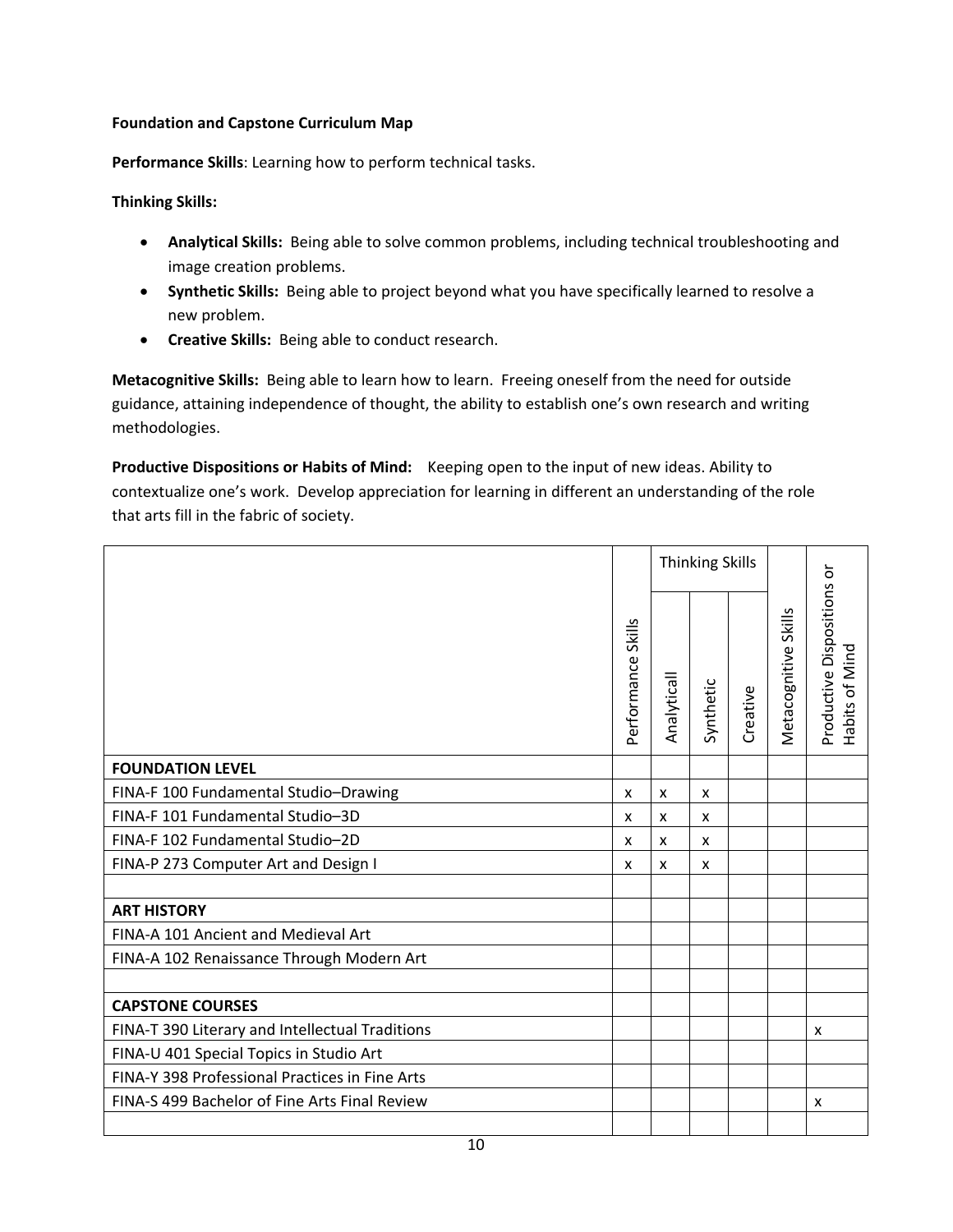# **Foundation and Capstone Curriculum Map**

**Performance Skills**: Learning how to perform technical tasks.

# **Thinking Skills:**

- **Analytical Skills:** Being able to solve common problems, including technical troubleshooting and image creation problems.
- **Synthetic Skills:** Being able to project beyond what you have specifically learned to resolve a new problem.
- **Creative Skills:** Being able to conduct research.

 **Metacognitive Skills:** Being able to learn how to learn. Freeing oneself from the need for outside guidance, attaining independence of thought, the ability to establish one's own research and writing methodologies.

 **Productive Dispositions or Habits of Mind:** Keeping open to the input of new ideas. Ability to contextualize one's work. Develop appreciation for learning in different an understanding of the role that arts fill in the fabric of society.

|                                                 |                              | <b>Thinking Skills</b> |              |          |                      |                                              |
|-------------------------------------------------|------------------------------|------------------------|--------------|----------|----------------------|----------------------------------------------|
|                                                 | <b>Skills</b><br>Performance | Analyticall            | Synthetic    | Creative | Metacognitive Skills | Productive Dispositions or<br>Habits of Mind |
| <b>FOUNDATION LEVEL</b>                         |                              |                        |              |          |                      |                                              |
| FINA-F 100 Fundamental Studio-Drawing           | X                            | X                      | $\mathsf{x}$ |          |                      |                                              |
| FINA-F 101 Fundamental Studio-3D                | X                            | x                      | x            |          |                      |                                              |
| FINA-F 102 Fundamental Studio-2D                | x                            | x                      | x            |          |                      |                                              |
| FINA-P 273 Computer Art and Design I            | X                            | x                      | X            |          |                      |                                              |
|                                                 |                              |                        |              |          |                      |                                              |
| <b>ART HISTORY</b>                              |                              |                        |              |          |                      |                                              |
| FINA-A 101 Ancient and Medieval Art             |                              |                        |              |          |                      |                                              |
| FINA-A 102 Renaissance Through Modern Art       |                              |                        |              |          |                      |                                              |
|                                                 |                              |                        |              |          |                      |                                              |
| <b>CAPSTONE COURSES</b>                         |                              |                        |              |          |                      |                                              |
| FINA-T 390 Literary and Intellectual Traditions |                              |                        |              |          |                      | X                                            |
| FINA-U 401 Special Topics in Studio Art         |                              |                        |              |          |                      |                                              |
| FINA-Y 398 Professional Practices in Fine Arts  |                              |                        |              |          |                      |                                              |
| FINA-S 499 Bachelor of Fine Arts Final Review   |                              |                        |              |          |                      | х                                            |
|                                                 |                              |                        |              |          |                      |                                              |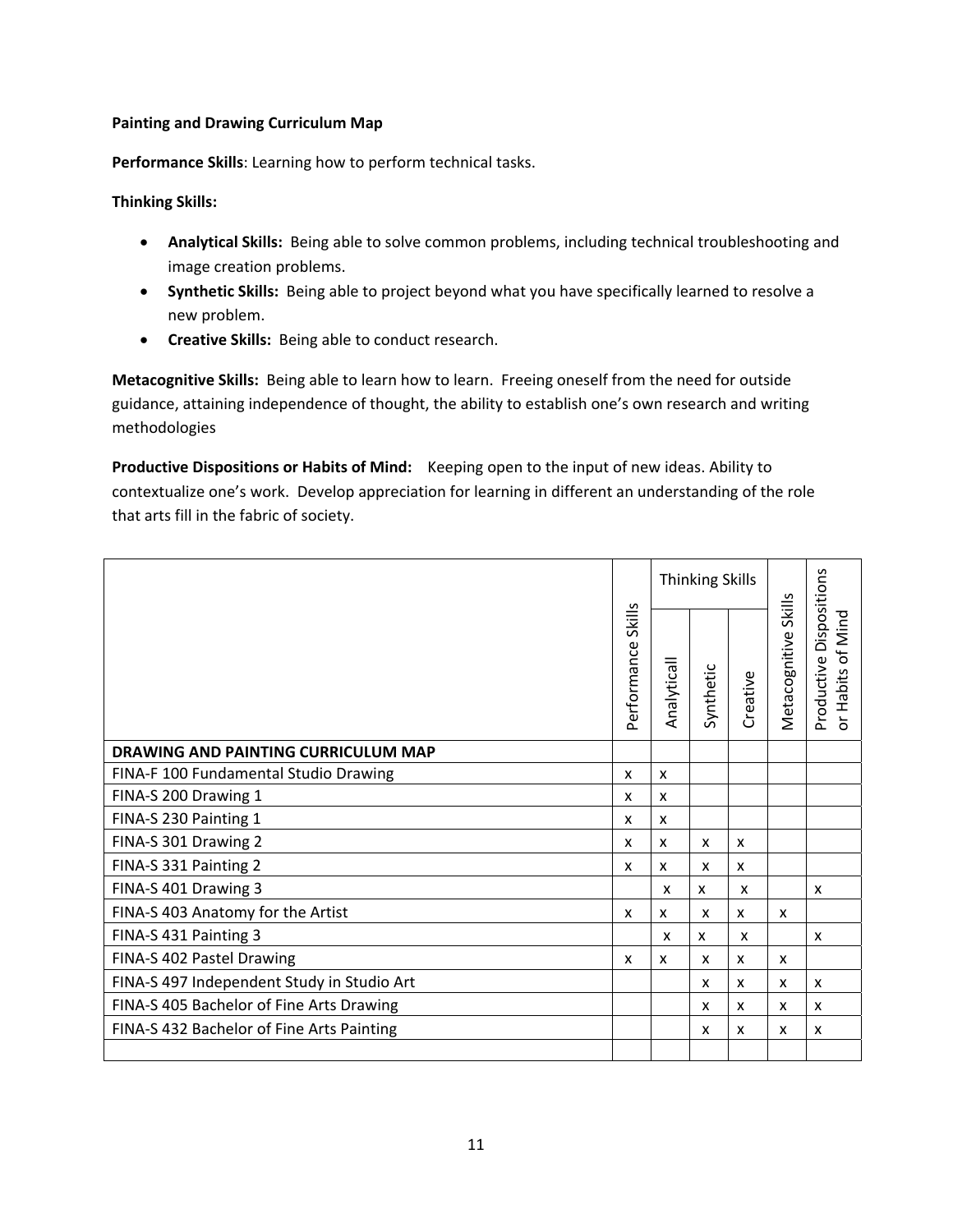# **Painting and Drawing Curriculum Map**

**Performance Skills**: Learning how to perform technical tasks.

# **Thinking Skills:**

- **Analytical Skills:** Being able to solve common problems, including technical troubleshooting and image creation problems.
- **Synthetic Skills:** Being able to project beyond what you have specifically learned to resolve a new problem.
- **Creative Skills:** Being able to conduct research.

 **Metacognitive Skills:** Being able to learn how to learn. Freeing oneself from the need for outside guidance, attaining independence of thought, the ability to establish one's own research and writing methodologies

 **Productive Dispositions or Habits of Mind:** Keeping open to the input of new ideas. Ability to contextualize one's work. Develop appreciation for learning in different an understanding of the role that arts fill in the fabric of society.

|                                            |                              |                           | <b>Thinking Skills</b> |              |                      |                                                                       |
|--------------------------------------------|------------------------------|---------------------------|------------------------|--------------|----------------------|-----------------------------------------------------------------------|
|                                            | <b>Skills</b><br>Performance | Analyticall               | Synthetic              | Creative     | Metacognitive Skills | Dispositions<br>P<br>of Min<br>Productive<br>Habits<br>$\overline{5}$ |
| DRAWING AND PAINTING CURRICULUM MAP        |                              |                           |                        |              |                      |                                                                       |
| FINA-F 100 Fundamental Studio Drawing      | X                            | x                         |                        |              |                      |                                                                       |
| FINA-S 200 Drawing 1                       | X                            | x                         |                        |              |                      |                                                                       |
| FINA-S 230 Painting 1                      | X                            | x                         |                        |              |                      |                                                                       |
| FINA-S 301 Drawing 2                       | x                            | x                         | x                      | X            |                      |                                                                       |
| FINA-S 331 Painting 2                      | X                            | x                         | X                      | X            |                      |                                                                       |
| FINA-S 401 Drawing 3                       |                              | $\boldsymbol{\mathsf{x}}$ | x                      | x            |                      | x                                                                     |
| FINA-S 403 Anatomy for the Artist          | X                            | x                         | X                      | X            | X                    |                                                                       |
| FINA-S 431 Painting 3                      |                              | $\boldsymbol{\mathsf{x}}$ | x                      | x            |                      | X                                                                     |
| FINA-S 402 Pastel Drawing                  | X                            | x                         | X                      | $\mathsf{x}$ | X                    |                                                                       |
| FINA-S 497 Independent Study in Studio Art |                              |                           | x                      | X            | x                    | X                                                                     |
| FINA-S 405 Bachelor of Fine Arts Drawing   |                              |                           | X                      | X            | X                    | X                                                                     |
| FINA-S 432 Bachelor of Fine Arts Painting  |                              |                           | X                      | x            | X                    | x                                                                     |
|                                            |                              |                           |                        |              |                      |                                                                       |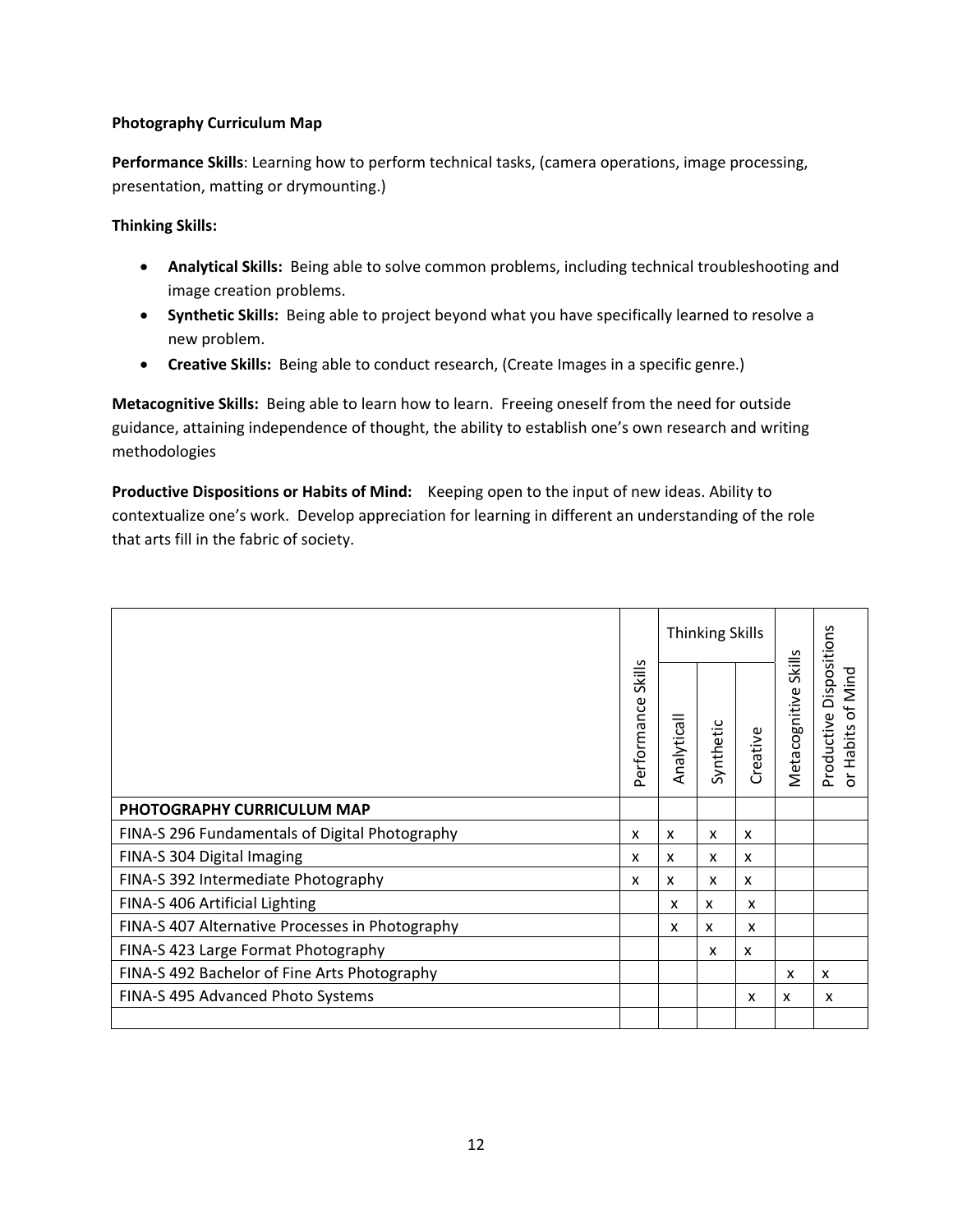# **Photography Curriculum Map**

 **Performance Skills**: Learning how to perform technical tasks, (camera operations, image processing, presentation, matting or drymounting.)

 **Thinking Skills:**

- **Analytical Skills:** Being able to solve common problems, including technical troubleshooting and  image creation problems.
- **Synthetic Skills:** Being able to project beyond what you have specifically learned to resolve a new problem.
- **Creative Skills:** Being able to conduct research, (Create Images in a specific genre.)

 **Metacognitive Skills:** Being able to learn how to learn. Freeing oneself from the need for outside guidance, attaining independence of thought, the ability to establish one's own research and writing methodologies

 **Productive Dispositions or Habits of Mind:** Keeping open to the input of new ideas. Ability to contextualize one's work. Develop appreciation for learning in different an understanding of the role that arts fill in the fabric of society.

|                                                 |                              | <b>Thinking Skills</b> |                           |          |                                |                                                                                            |
|-------------------------------------------------|------------------------------|------------------------|---------------------------|----------|--------------------------------|--------------------------------------------------------------------------------------------|
|                                                 | <b>Skills</b><br>Performance | Analyticall            | Synthetic                 | Creative | <b>Skills</b><br>Metacognitive | Dispositions<br>Mind<br>$\overline{\sigma}$<br>Productive<br>Habits<br>$\overline{\sigma}$ |
| PHOTOGRAPHY CURRICULUM MAP                      |                              |                        |                           |          |                                |                                                                                            |
| FINA-S 296 Fundamentals of Digital Photography  | x                            | x                      | $\boldsymbol{\mathsf{x}}$ | X        |                                |                                                                                            |
| FINA-S 304 Digital Imaging                      | X                            | X                      | $\boldsymbol{\mathsf{x}}$ | x        |                                |                                                                                            |
| FINA-S 392 Intermediate Photography             | x                            | x                      | x                         | x        |                                |                                                                                            |
| FINA-S 406 Artificial Lighting                  |                              | x                      | x                         | x        |                                |                                                                                            |
| FINA-S 407 Alternative Processes in Photography |                              | X                      | x                         | x        |                                |                                                                                            |
| FINA-S 423 Large Format Photography             |                              |                        | $\boldsymbol{\mathsf{x}}$ | x        |                                |                                                                                            |
| FINA-S 492 Bachelor of Fine Arts Photography    |                              |                        |                           |          | x                              | X                                                                                          |
| FINA-S 495 Advanced Photo Systems               |                              |                        |                           | x        | x                              | x                                                                                          |
|                                                 |                              |                        |                           |          |                                |                                                                                            |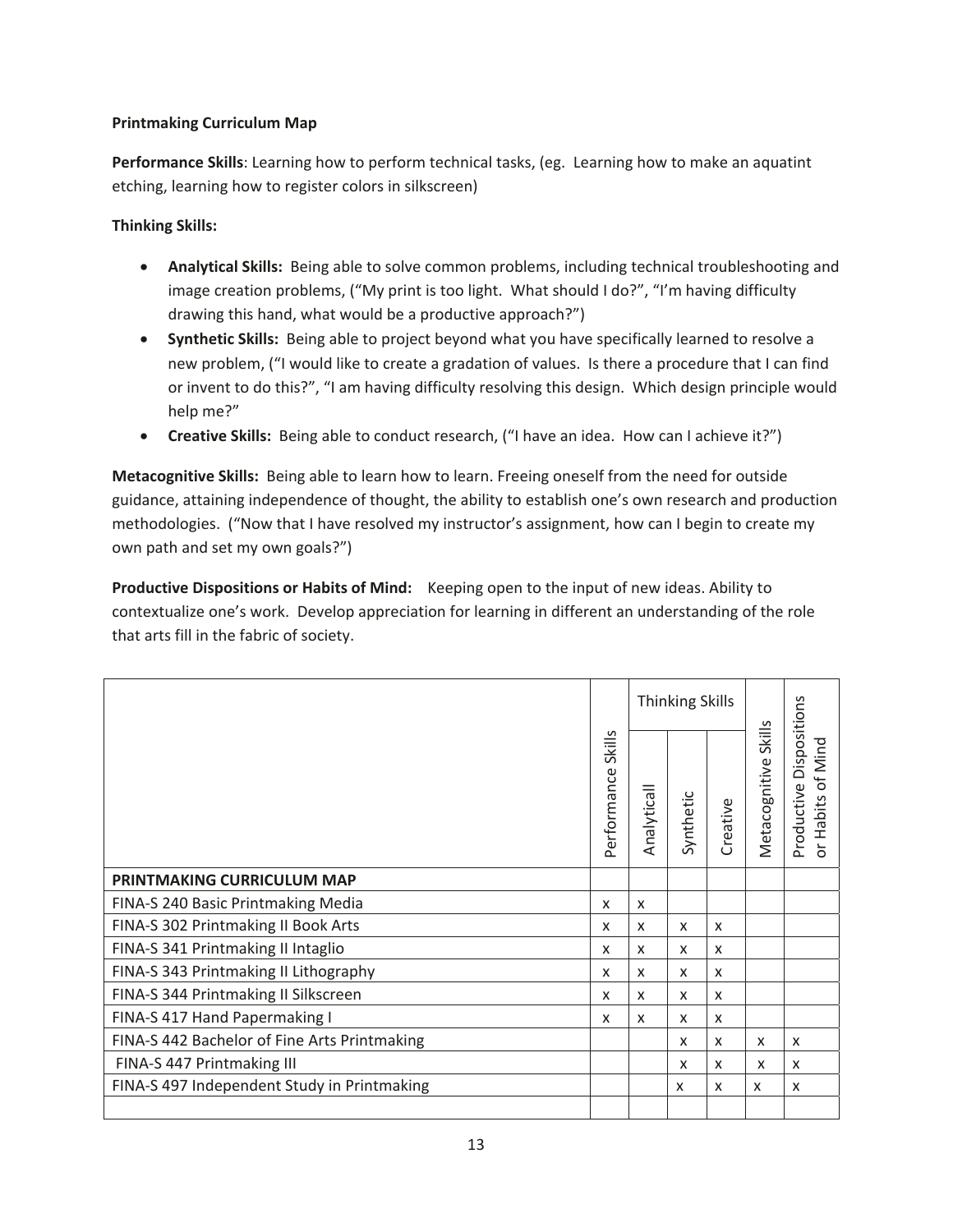# **Printmaking Curriculum Map**

**Performance Skills**: Learning how to perform technical tasks, (eg. Learning how to make an aquatint etching, learning how to register colors in silkscreen)

# **Thinking Skills:**

- **Analytical Skills:** Being able to solve common problems, including technical troubleshooting and image creation problems, ("My print is too light. What should I do?", "I'm having difficulty drawing this hand, what would be a productive approach?")
- **•** Synthetic Skills: Being able to project beyond what you have specifically learned to resolve a new problem, ("I would like to create a gradation of values. Is there a procedure that I can find or invent to do this?", "I am having difficulty resolving this design. Which design principle would help me?"
- **•** Creative Skills: Being able to conduct research, ("I have an idea. How can I achieve it?")

**Metacognitive Skills:** Being able to learn how to learn. Freeing oneself from the need for outside guidance, attaining independence of thought, the ability to establish one's own research and production methodologies. ("Now that I have resolved my instructor's assignment, how can I begin to create my own path and set my own goals?")

**Productive Dispositions or Habits of Mind:** Keeping open to the input of new ideas. Ability to contextualize one's work. Develop appreciation for learning in different an understanding of the role that arts fill in the fabric of society.

|                                              |                           | <b>Thinking Skills</b>    |           |          |                           |                                                                     |
|----------------------------------------------|---------------------------|---------------------------|-----------|----------|---------------------------|---------------------------------------------------------------------|
|                                              | Skills<br>Performance     | Analyticall               | Synthetic | Creative | Skills<br>Metacognitive   | Productive Dispositions<br>of Mind<br>Habits<br>$\overline{\sigma}$ |
| PRINTMAKING CURRICULUM MAP                   |                           |                           |           |          |                           |                                                                     |
| FINA-S 240 Basic Printmaking Media           | X                         | X                         |           |          |                           |                                                                     |
| FINA-S 302 Printmaking II Book Arts          | X                         | X                         | X         | X        |                           |                                                                     |
| FINA-S 341 Printmaking II Intaglio           | x                         | $\boldsymbol{\mathsf{x}}$ | X         | x        |                           |                                                                     |
| FINA-S 343 Printmaking II Lithography        | X                         | X                         | x         | x        |                           |                                                                     |
| FINA-S 344 Printmaking II Silkscreen         | X                         | $\boldsymbol{\mathsf{x}}$ | X         | X        |                           |                                                                     |
| FINA-S 417 Hand Papermaking I                | $\boldsymbol{\mathsf{x}}$ | $\boldsymbol{\mathsf{x}}$ | X         | X        |                           |                                                                     |
| FINA-S 442 Bachelor of Fine Arts Printmaking |                           |                           | X         | X        | X                         | X                                                                   |
| FINA-S 447 Printmaking III                   |                           |                           | X         | X        | $\boldsymbol{\mathsf{x}}$ | X                                                                   |
| FINA-S 497 Independent Study in Printmaking  |                           |                           | x         | X        | X                         | X                                                                   |
|                                              |                           |                           |           |          |                           |                                                                     |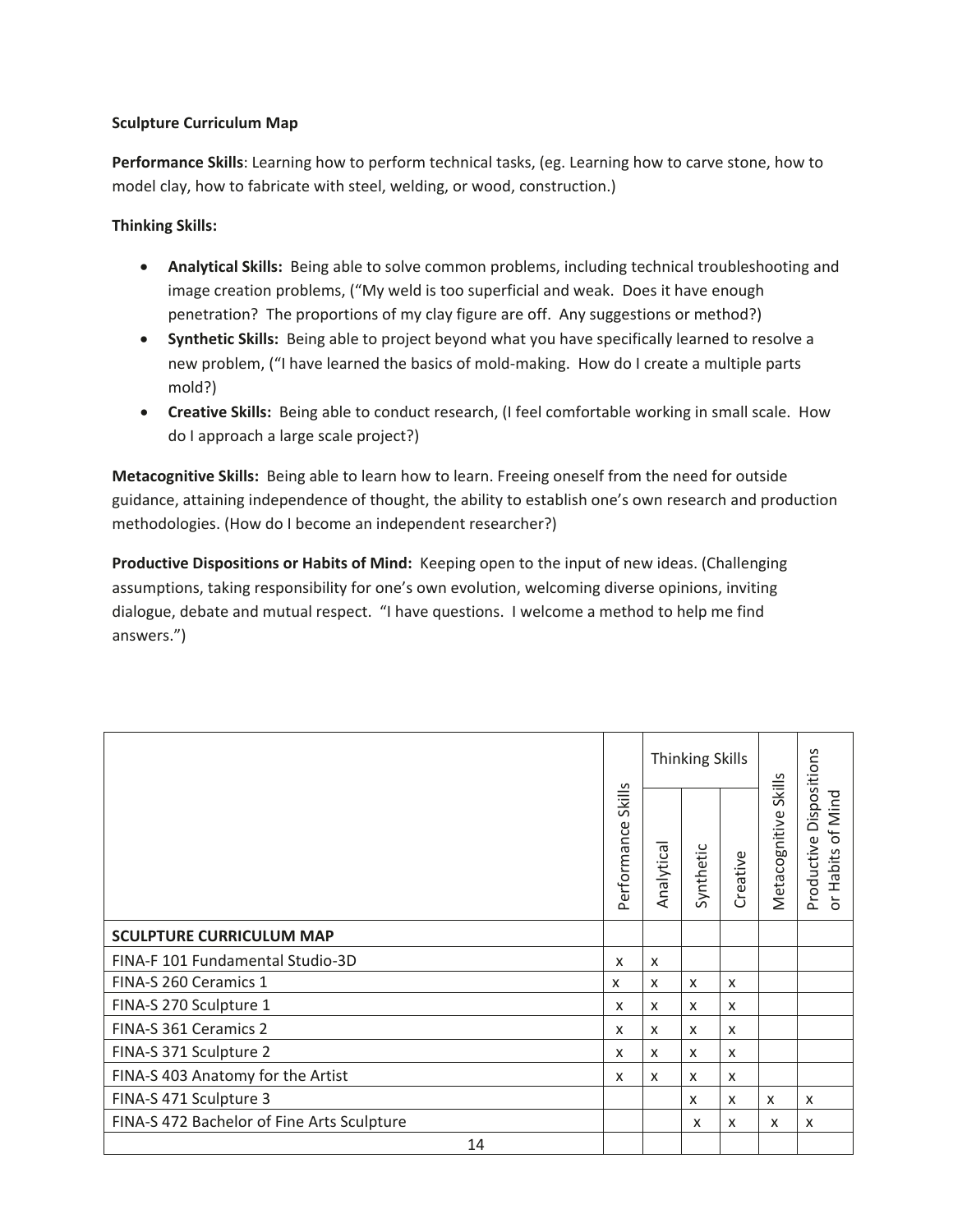# **Sculpture Curriculum Map**

**Performance Skills**: Learning how to perform technical tasks, (eg. Learning how to carve stone, how to model clay, how to fabricate with steel, welding, or wood, construction.)

# **Thinking Skills:**

- **Analytical Skills:** Being able to solve common problems, including technical troubleshooting and image creation problems, ("My weld is too superficial and weak. Does it have enough penetration? The proportions of my clay figure are off. Any suggestions or method?)
- **•** Synthetic Skills: Being able to project beyond what you have specifically learned to resolve a new problem, ("I have learned the basics of mold-making. How do I create a multiple parts mold?)
- **Creative Skills:** Being able to conduct research, (I feel comfortable working in small scale. How do I approach a large scale project?)

**Metacognitive Skills:** Being able to learn how to learn. Freeing oneself from the need for outside guidance, attaining independence of thought, the ability to establish one's own research and production methodologies. (How do I become an independent researcher?)

**Productive Dispositions or Habits of Mind:** Keeping open to the input of new ideas. (Challenging assumptions, taking responsibility for one's own evolution, welcoming diverse opinions, inviting dialogue, debate and mutual respect. "I have questions. I welcome a method to help me find answers.")

|                                            |                           |                           | <b>Thinking Skills</b> |          |                         |                                                                |
|--------------------------------------------|---------------------------|---------------------------|------------------------|----------|-------------------------|----------------------------------------------------------------|
|                                            | Skills<br>Performance     | Analytica                 | Synthetic              | Creative | Skills<br>Metacognitive | Dispositions<br>Habits of Mind<br>Productive<br>$\overline{5}$ |
| <b>SCULPTURE CURRICULUM MAP</b>            |                           |                           |                        |          |                         |                                                                |
| FINA-F 101 Fundamental Studio-3D           | $\boldsymbol{\mathsf{x}}$ | X                         |                        |          |                         |                                                                |
| FINA-S 260 Ceramics 1                      | x                         | X                         | X                      | X        |                         |                                                                |
| FINA-S 270 Sculpture 1                     | X                         | $\boldsymbol{\mathsf{x}}$ | X                      | X        |                         |                                                                |
| FINA-S 361 Ceramics 2                      | $\boldsymbol{\mathsf{x}}$ | $\boldsymbol{\mathsf{x}}$ | X                      | X        |                         |                                                                |
| FINA-S 371 Sculpture 2                     | $\boldsymbol{\mathsf{x}}$ | $\mathsf{x}$              | x                      | X        |                         |                                                                |
| FINA-S 403 Anatomy for the Artist          | X                         | X                         | x                      | X        |                         |                                                                |
| FINA-S 471 Sculpture 3                     |                           |                           | x                      | X        | $\times$                | X                                                              |
| FINA-S 472 Bachelor of Fine Arts Sculpture |                           |                           | x                      | X        | X                       | X                                                              |
| 14                                         |                           |                           |                        |          |                         |                                                                |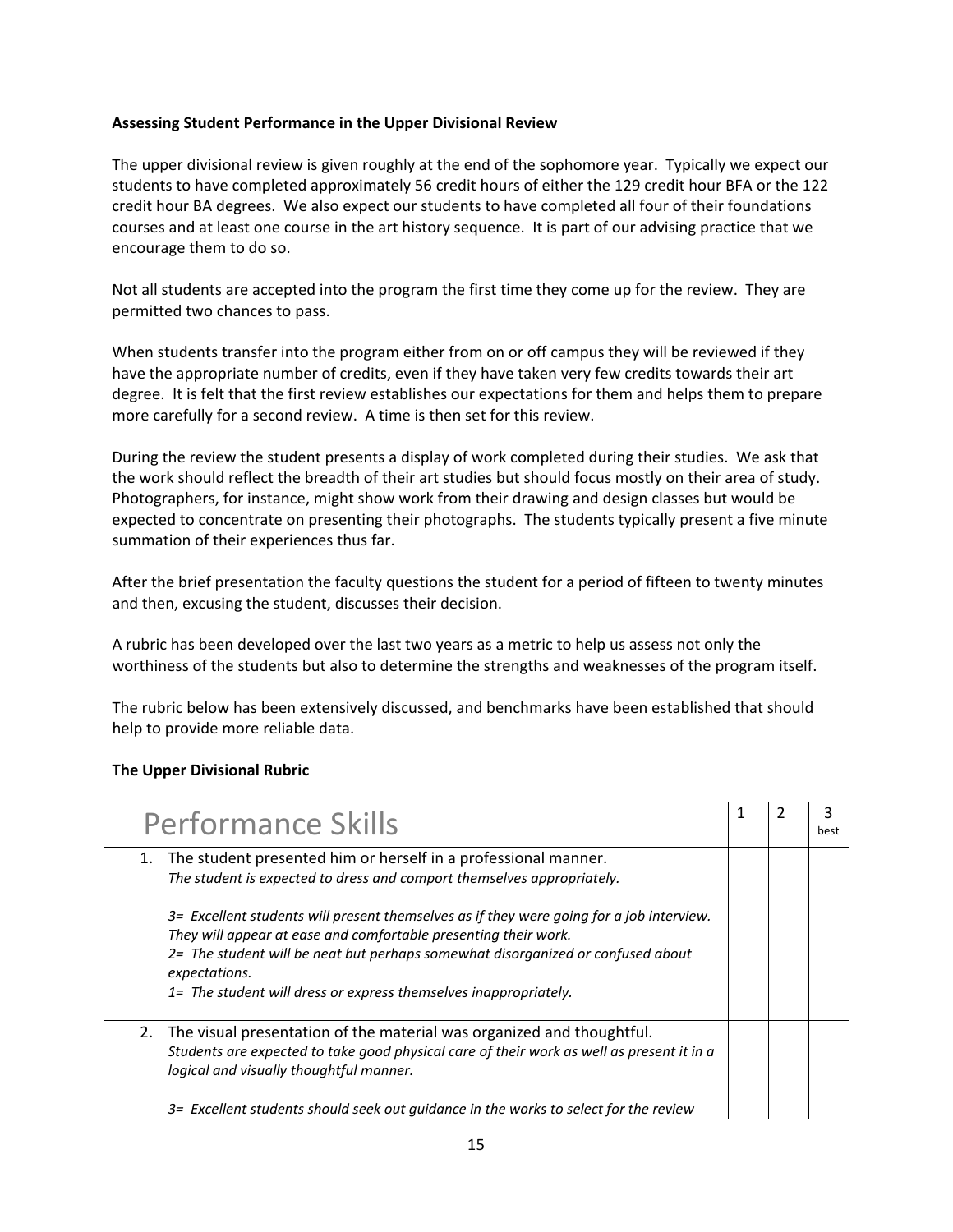# **Assessing Student Performance in the Upper Divisional Review**

 The upper divisional review is given roughly at the end of the sophomore year. Typically we expect our students to have completed approximately 56 credit hours of either the 129 credit hour BFA or the 122 credit hour BA degrees. We also expect our students to have completed all four of their foundations courses and at least one course in the art history sequence. It is part of our advising practice that we encourage them to do so.

 Not all students are accepted into the program the first time they come up for the review. They are permitted two chances to pass.

 When students transfer into the program either from on or off campus they will be reviewed if they have the appropriate number of credits, even if they have taken very few credits towards their art degree. It is felt that the first review establishes our expectations for them and helps them to prepare more carefully for a second review. A time is then set for this review.

 During the review the student presents a display of work completed during their studies. We ask that the work should reflect the breadth of their art studies but should focus mostly on their area of study. Photographers, for instance, might show work from their drawing and design classes but would be expected to concentrate on presenting their photographs. The students typically present a five minute summation of their experiences thus far.

 After the brief presentation the faculty questions the student for a period of fifteen to twenty minutes and then, excusing the student, discusses their decision.

 A rubric has been developed over the last two years as a metric to help us assess not only the worthiness of the students but also to determine the strengths and weaknesses of the program itself.

 The rubric below has been extensively discussed, and benchmarks have been established that should help to provide more reliable data.

#### **The Upper Divisional Rubric**

| <b>Performance Skills</b>                                                                                                                                                                                                                                                                                                           |  | best |
|-------------------------------------------------------------------------------------------------------------------------------------------------------------------------------------------------------------------------------------------------------------------------------------------------------------------------------------|--|------|
| The student presented him or herself in a professional manner.<br>1.<br>The student is expected to dress and comport themselves appropriately.                                                                                                                                                                                      |  |      |
| 3= Excellent students will present themselves as if they were going for a job interview.<br>They will appear at ease and comfortable presenting their work.<br>2= The student will be neat but perhaps somewhat disorganized or confused about<br>expectations.<br>1= The student will dress or express themselves inappropriately. |  |      |
| The visual presentation of the material was organized and thoughtful.<br>2.<br>Students are expected to take good physical care of their work as well as present it in a<br>logical and visually thoughtful manner.                                                                                                                 |  |      |
| 3= Excellent students should seek out guidance in the works to select for the review                                                                                                                                                                                                                                                |  |      |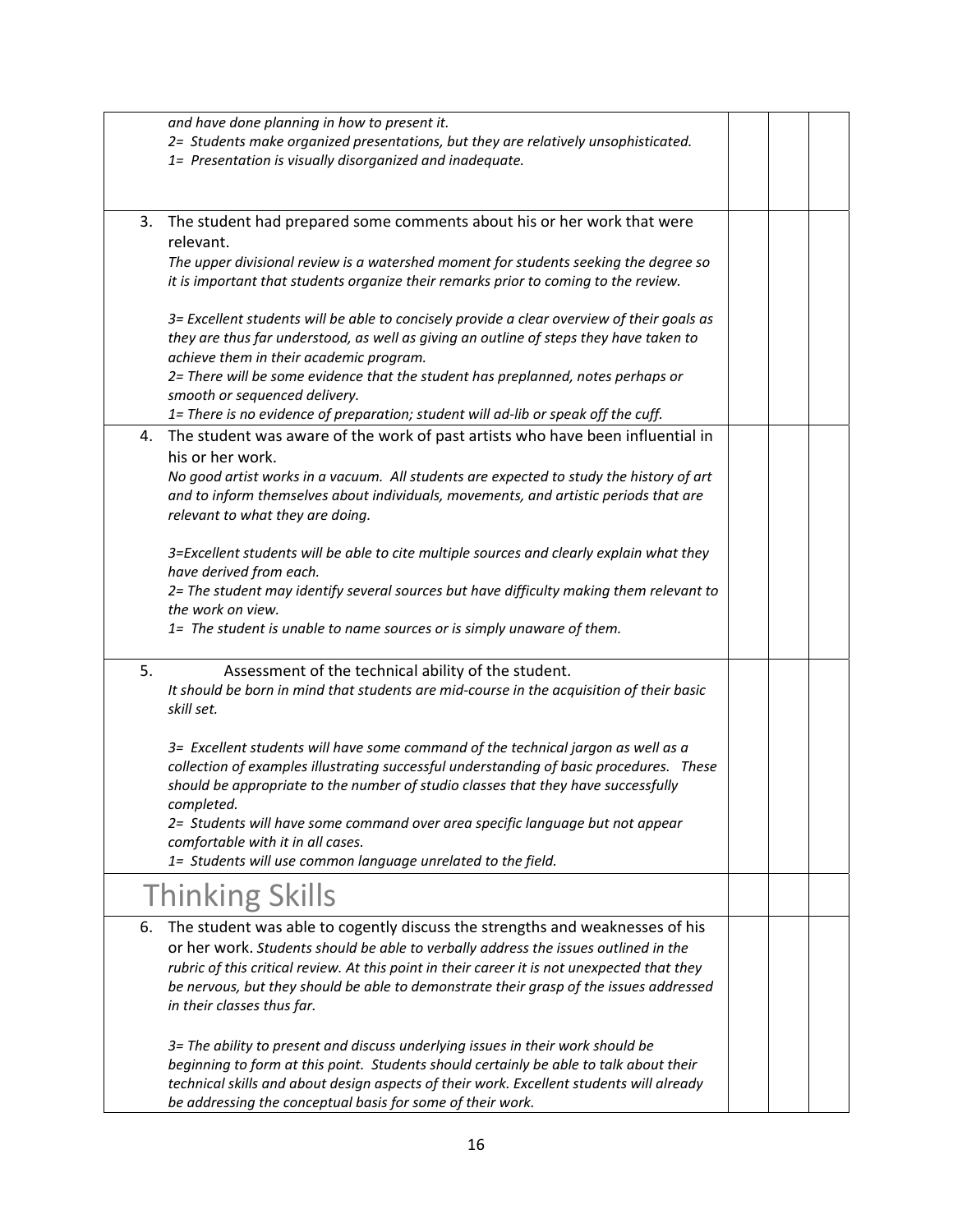|    | and have done planning in how to present it.                                                                                      |  |  |
|----|-----------------------------------------------------------------------------------------------------------------------------------|--|--|
|    | 2= Students make organized presentations, but they are relatively unsophisticated.                                                |  |  |
|    | 1= Presentation is visually disorganized and inadequate.                                                                          |  |  |
|    |                                                                                                                                   |  |  |
|    |                                                                                                                                   |  |  |
| 3. | The student had prepared some comments about his or her work that were                                                            |  |  |
|    | relevant.                                                                                                                         |  |  |
|    | The upper divisional review is a watershed moment for students seeking the degree so                                              |  |  |
|    | it is important that students organize their remarks prior to coming to the review.                                               |  |  |
|    |                                                                                                                                   |  |  |
|    | 3= Excellent students will be able to concisely provide a clear overview of their goals as                                        |  |  |
|    | they are thus far understood, as well as giving an outline of steps they have taken to<br>achieve them in their academic program. |  |  |
|    | 2= There will be some evidence that the student has preplanned, notes perhaps or                                                  |  |  |
|    | smooth or sequenced delivery.                                                                                                     |  |  |
|    | 1= There is no evidence of preparation; student will ad-lib or speak off the cuff.                                                |  |  |
| 4. | The student was aware of the work of past artists who have been influential in                                                    |  |  |
|    | his or her work.                                                                                                                  |  |  |
|    | No good artist works in a vacuum. All students are expected to study the history of art                                           |  |  |
|    | and to inform themselves about individuals, movements, and artistic periods that are                                              |  |  |
|    | relevant to what they are doing.                                                                                                  |  |  |
|    |                                                                                                                                   |  |  |
|    | 3=Excellent students will be able to cite multiple sources and clearly explain what they                                          |  |  |
|    | have derived from each.                                                                                                           |  |  |
|    | 2= The student may identify several sources but have difficulty making them relevant to                                           |  |  |
|    | the work on view.                                                                                                                 |  |  |
|    | 1= The student is unable to name sources or is simply unaware of them.                                                            |  |  |
| 5. | Assessment of the technical ability of the student.                                                                               |  |  |
|    | It should be born in mind that students are mid-course in the acquisition of their basic                                          |  |  |
|    | skill set.                                                                                                                        |  |  |
|    |                                                                                                                                   |  |  |
|    | 3= Excellent students will have some command of the technical jargon as well as a                                                 |  |  |
|    | collection of examples illustrating successful understanding of basic procedures. These                                           |  |  |
|    | should be appropriate to the number of studio classes that they have successfully                                                 |  |  |
|    | completed.                                                                                                                        |  |  |
|    | 2= Students will have some command over area specific language but not appear                                                     |  |  |
|    | comfortable with it in all cases.                                                                                                 |  |  |
|    | 1= Students will use common language unrelated to the field.                                                                      |  |  |
|    | <b>Thinking Skills</b>                                                                                                            |  |  |
| 6. | The student was able to cogently discuss the strengths and weaknesses of his                                                      |  |  |
|    | or her work. Students should be able to verbally address the issues outlined in the                                               |  |  |
|    | rubric of this critical review. At this point in their career it is not unexpected that they                                      |  |  |
|    | be nervous, but they should be able to demonstrate their grasp of the issues addressed                                            |  |  |
|    | in their classes thus far.                                                                                                        |  |  |
|    |                                                                                                                                   |  |  |
|    | 3= The ability to present and discuss underlying issues in their work should be                                                   |  |  |
|    | beginning to form at this point. Students should certainly be able to talk about their                                            |  |  |
|    | technical skills and about design aspects of their work. Excellent students will already                                          |  |  |
|    | be addressing the conceptual basis for some of their work.                                                                        |  |  |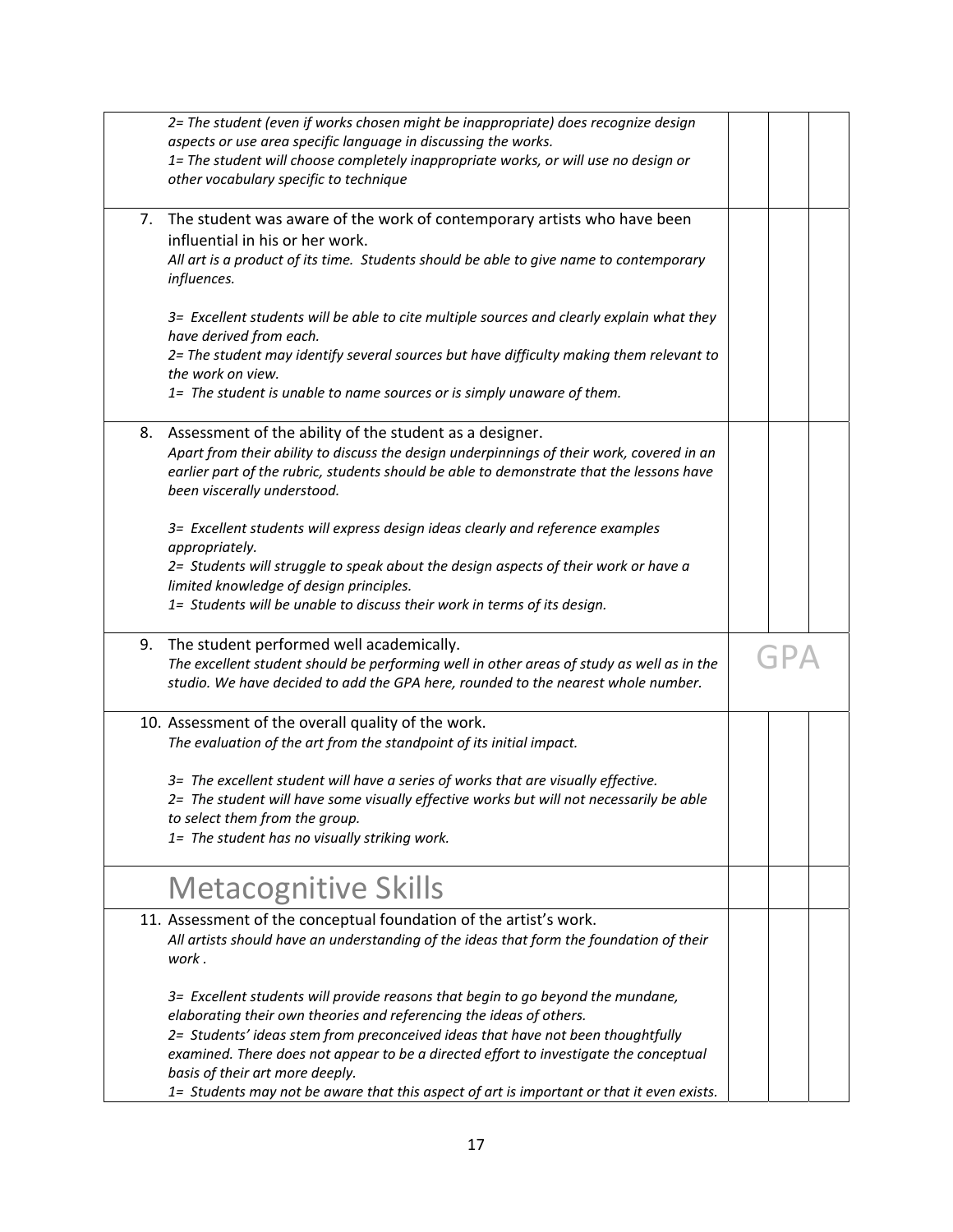|    | 2= The student (even if works chosen might be inappropriate) does recognize design<br>aspects or use area specific language in discussing the works.<br>1= The student will choose completely inappropriate works, or will use no design or<br>other vocabulary specific to technique                                                                                                                                                                              |  |  |
|----|--------------------------------------------------------------------------------------------------------------------------------------------------------------------------------------------------------------------------------------------------------------------------------------------------------------------------------------------------------------------------------------------------------------------------------------------------------------------|--|--|
| 7. | The student was aware of the work of contemporary artists who have been<br>influential in his or her work.<br>All art is a product of its time. Students should be able to give name to contemporary<br>influences.                                                                                                                                                                                                                                                |  |  |
|    | 3= Excellent students will be able to cite multiple sources and clearly explain what they<br>have derived from each.<br>2= The student may identify several sources but have difficulty making them relevant to<br>the work on view.<br>1= The student is unable to name sources or is simply unaware of them.                                                                                                                                                     |  |  |
| 8. | Assessment of the ability of the student as a designer.<br>Apart from their ability to discuss the design underpinnings of their work, covered in an<br>earlier part of the rubric, students should be able to demonstrate that the lessons have<br>been viscerally understood.                                                                                                                                                                                    |  |  |
|    | 3= Excellent students will express design ideas clearly and reference examples<br>appropriately.<br>2= Students will struggle to speak about the design aspects of their work or have a<br>limited knowledge of design principles.<br>1= Students will be unable to discuss their work in terms of its design.                                                                                                                                                     |  |  |
| 9. | The student performed well academically.<br>The excellent student should be performing well in other areas of study as well as in the<br>studio. We have decided to add the GPA here, rounded to the nearest whole number.                                                                                                                                                                                                                                         |  |  |
|    | 10. Assessment of the overall quality of the work.<br>The evaluation of the art from the standpoint of its initial impact.<br>3= The excellent student will have a series of works that are visually effective.<br>2= The student will have some visually effective works but will not necessarily be able<br>to select them from the group.<br>1= The student has no visually striking work.                                                                      |  |  |
|    | <b>Metacognitive Skills</b>                                                                                                                                                                                                                                                                                                                                                                                                                                        |  |  |
|    | 11. Assessment of the conceptual foundation of the artist's work.<br>All artists should have an understanding of the ideas that form the foundation of their<br>work .                                                                                                                                                                                                                                                                                             |  |  |
|    | 3= Excellent students will provide reasons that begin to go beyond the mundane,<br>elaborating their own theories and referencing the ideas of others.<br>2= Students' ideas stem from preconceived ideas that have not been thoughtfully<br>examined. There does not appear to be a directed effort to investigate the conceptual<br>basis of their art more deeply.<br>1= Students may not be aware that this aspect of art is important or that it even exists. |  |  |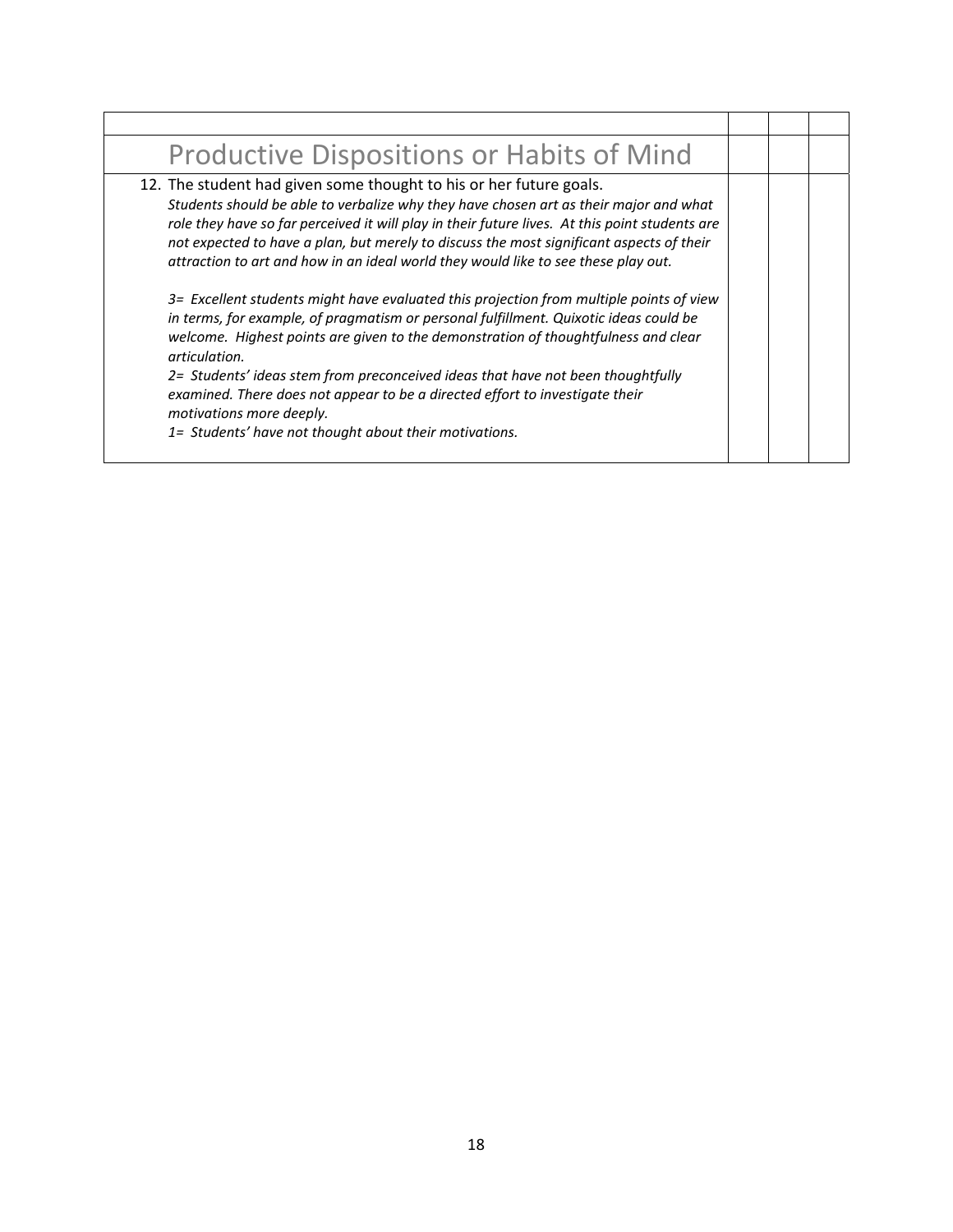| <b>Productive Dispositions or Habits of Mind</b>                                                                                                                                                                                                                                                                                                                                                                                                                                                                                                                                                                                                                                                                                                                                                                                                                                                                                                                                                    |  |  |
|-----------------------------------------------------------------------------------------------------------------------------------------------------------------------------------------------------------------------------------------------------------------------------------------------------------------------------------------------------------------------------------------------------------------------------------------------------------------------------------------------------------------------------------------------------------------------------------------------------------------------------------------------------------------------------------------------------------------------------------------------------------------------------------------------------------------------------------------------------------------------------------------------------------------------------------------------------------------------------------------------------|--|--|
| 12. The student had given some thought to his or her future goals.<br>Students should be able to verbalize why they have chosen art as their major and what<br>role they have so far perceived it will play in their future lives. At this point students are<br>not expected to have a plan, but merely to discuss the most significant aspects of their<br>attraction to art and how in an ideal world they would like to see these play out.<br>3= Excellent students might have evaluated this projection from multiple points of view<br>in terms, for example, of pragmatism or personal fulfillment. Quixotic ideas could be<br>welcome. Highest points are given to the demonstration of thoughtfulness and clear<br>articulation.<br>2= Students' ideas stem from preconceived ideas that have not been thoughtfully<br>examined. There does not appear to be a directed effort to investigate their<br>motivations more deeply.<br>1= Students' have not thought about their motivations. |  |  |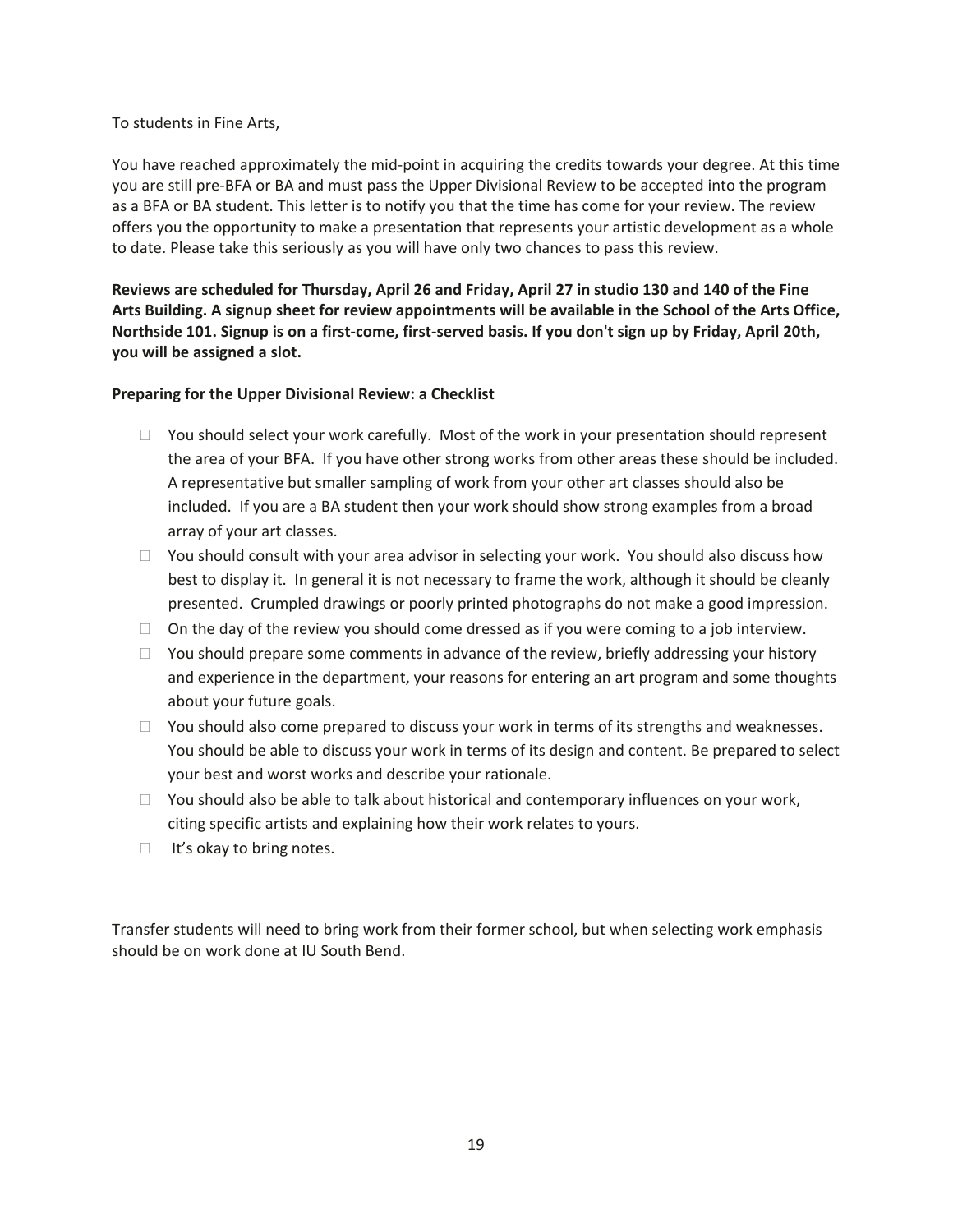#### To students in Fine Arts,

You have reached approximately the mid-point in acquiring the credits towards your degree. At this time you are still pre-BFA or BA and must pass the Upper Divisional Review to be accepted into the program as a BFA or BA student. This letter is to notify you that the time has come for your review. The review offers you the opportunity to make a presentation that represents your artistic development as a whole to date. Please take this seriously as you will have only two chances to pass this review.

Reviews are scheduled for Thursday, April 26 and Friday, April 27 in studio 130 and 140 of the Fine Arts Building. A signup sheet for review appointments will be available in the School of the Arts Office, Northside 101. Signup is on a first-come, first-served basis. If you don't sign up by Friday, April 20th, **you will be assigned a slot.**

# **Preparing for the Upper Divisional Review: a Checklist**

- $\Box$  You should select your work carefully. Most of the work in your presentation should represent the area of your BFA. If you have other strong works from other areas these should be included. A representative but smaller sampling of work from your other art classes should also be included. If you are a BA student then your work should show strong examples from a broad array of your art classes.
- $\Box$  You should consult with your area advisor in selecting your work. You should also discuss how best to display it. In general it is not necessary to frame the work, although it should be cleanly presented. Crumpled drawings or poorly printed photographs do not make a good impression.
- $\Box$  On the day of the review you should come dressed as if you were coming to a job interview.
- $\Box$  You should prepare some comments in advance of the review, briefly addressing your history and experience in the department, your reasons for entering an art program and some thoughts about your future goals.
- $\Box$  You should also come prepared to discuss your work in terms of its strengths and weaknesses. You should be able to discuss your work in terms of its design and content. Be prepared to select your best and worst works and describe your rationale.
- $\Box$  You should also be able to talk about historical and contemporary influences on your work, citing specific artists and explaining how their work relates to yours.
- $\Box$  It's okay to bring notes.

Transfer students will need to bring work from their former school, but when selecting work emphasis should be on work done at IU South Bend.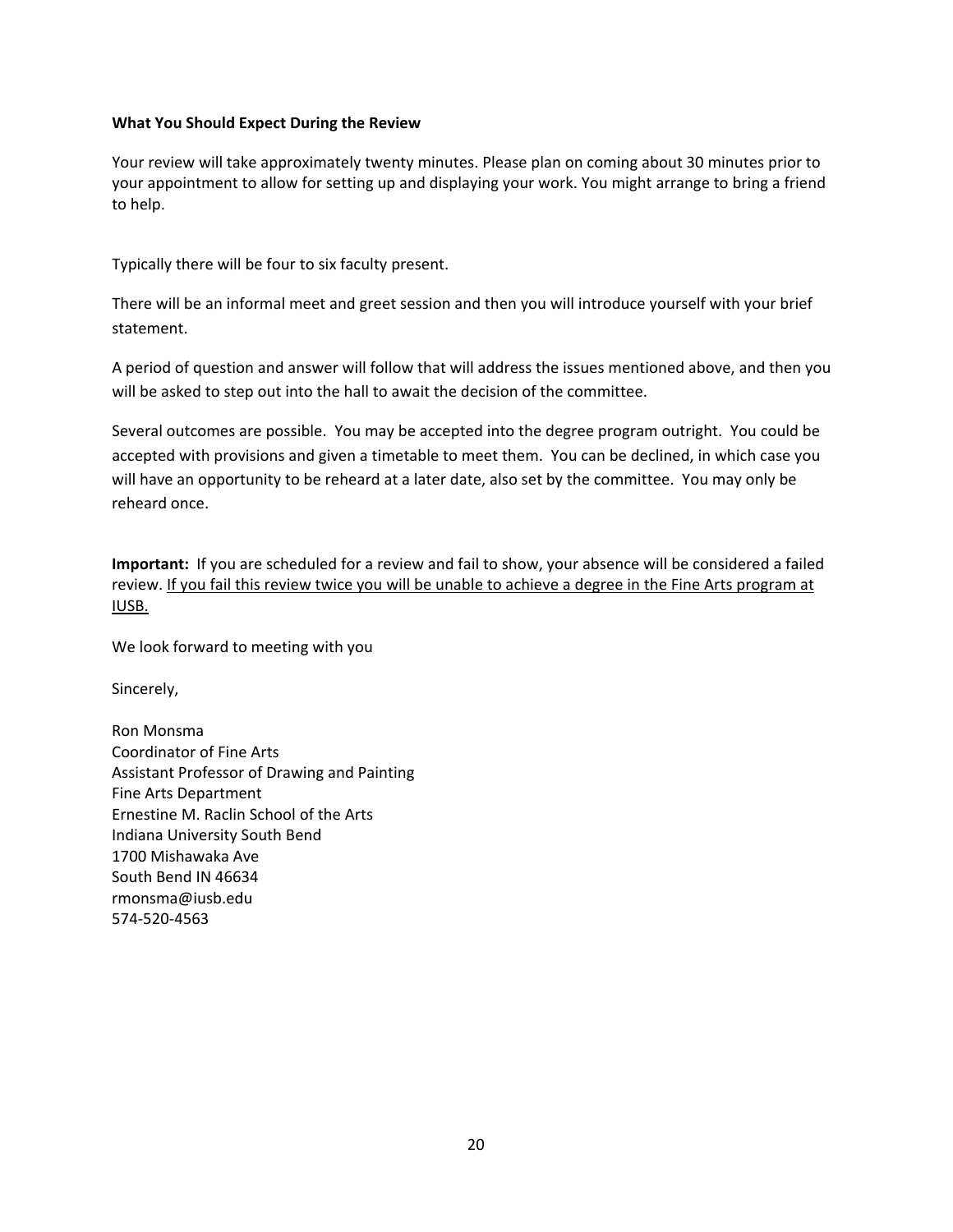#### **What You Should Expect During the Review**

 Your review will take approximately twenty minutes. Please plan on coming about 30 minutes prior to your appointment to allow for setting up and displaying your work. You might arrange to bring a friend to help.

Typically there will be four to six faculty present.

 There will be an informal meet and greet session and then you will introduce yourself with your brief statement.

 A period of question and answer will follow that will address the issues mentioned above, and then you will be asked to step out into the hall to await the decision of the committee.

 Several outcomes are possible. You may be accepted into the degree program outright. You could be accepted with provisions and given a timetable to meet them. You can be declined, in which case you will have an opportunity to be reheard at a later date, also set by the committee. You may only be reheard once.

 **Important:** If you are scheduled for a review and fail to show, your absence will be considered a failed review. If you fail this review twice you will be unable to achieve a degree in the Fine Arts program at IUSB.

We look forward to meeting with you

Sincerely,

 Ron Monsma Coordinator of Fine Arts Assistant Professor of Drawing and Painting Fine Arts Department Ernestine M. Raclin School of the Arts Indiana University South Bend 1700 Mishawaka Ave South Bend IN 46634 rmonsma@iusb.edu 574‐520‐4563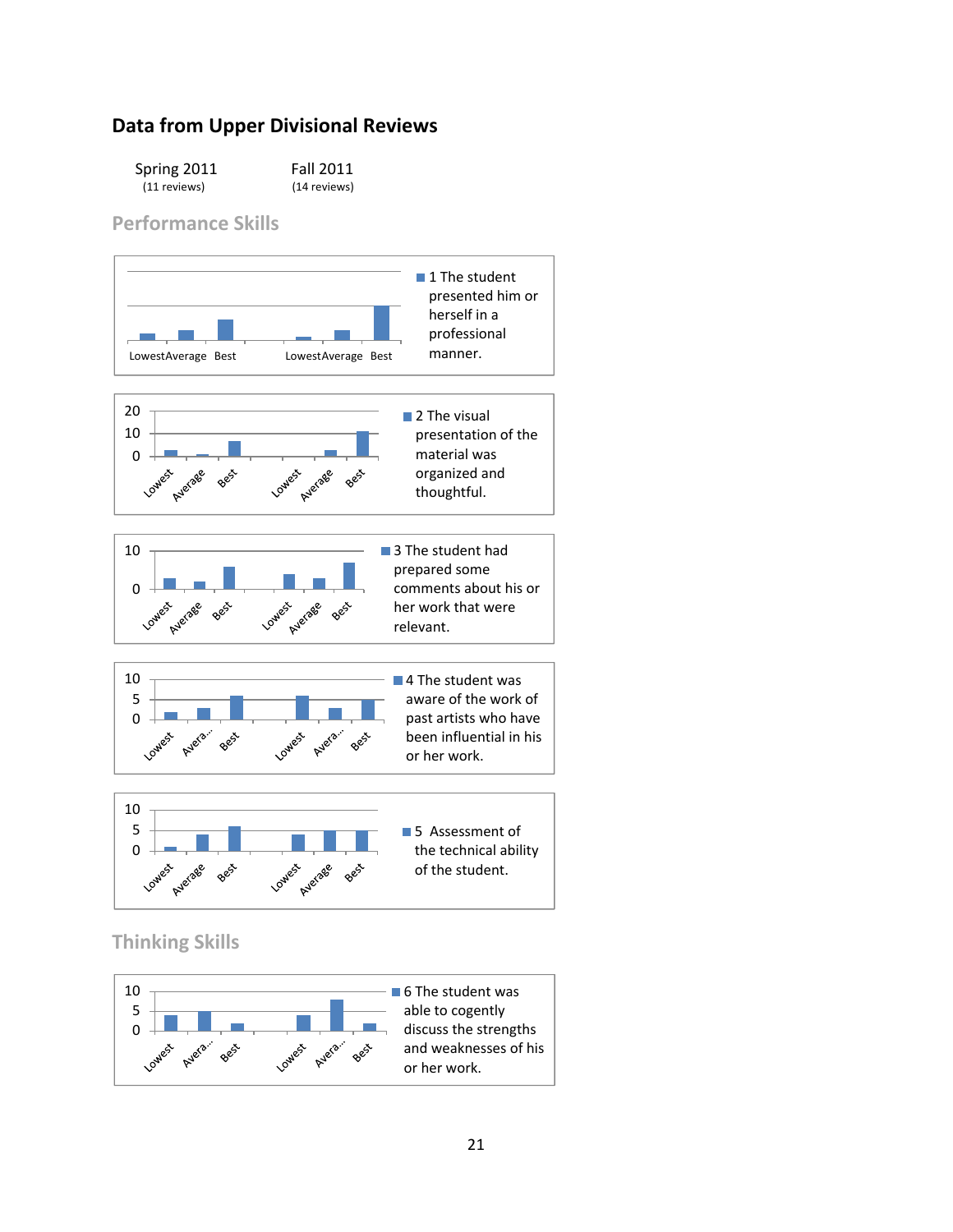# **Data from Upper Divisional Reviews**

| Spring 2011  | <b>Fall 2011</b> |
|--------------|------------------|
| (11 reviews) | (14 reviews)     |

 **Performance Skills**



 **Thinking Skills**